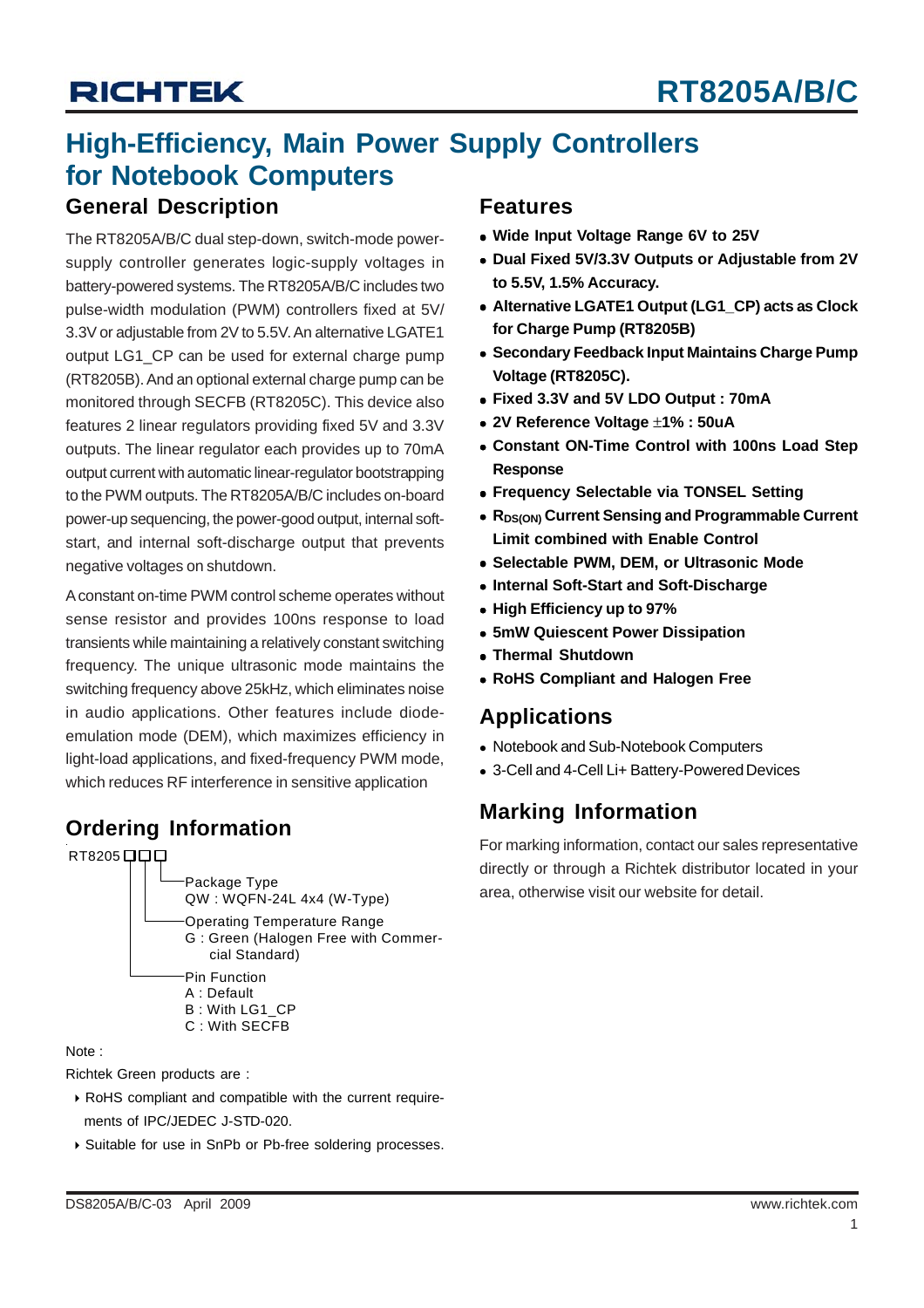### **High-Efficiency, Main Power Supply Controllers for Notebook Computers**

### **General Description**

The RT8205A/B/C dual step-down, switch-mode powersupply controller generates logic-supply voltages in battery-powered systems. The RT8205A/B/C includes two pulse-width modulation (PWM) controllers fixed at 5V/ 3.3V or adjustable from 2V to 5.5V. An alternative LGATE1 output LG1 CP can be used for external charge pump (RT8205B). And an optional external charge pump can be monitored through SECFB (RT8205C). This device also features 2 linear regulators providing fixed 5V and 3.3V outputs. The linear regulator each provides up to 70mA output current with automatic linear-regulator bootstrapping to the PWM outputs. The RT8205A/B/C includes on-board power-up sequencing, the power-good output, internal softstart, and internal soft-discharge output that prevents negative voltages on shutdown.

A constant on-time PWM control scheme operates without sense resistor and provides 100ns response to load transients while maintaining a relatively constant switching frequency. The unique ultrasonic mode maintains the switching frequency above 25kHz, which eliminates noise in audio applications. Other features include diodeemulation mode (DEM), which maximizes efficiency in light-load applications, and fixed-frequency PWM mode, which reduces RF interference in sensitive application

### **Ordering Information**



#### Note :

Richtek Green products are :

- ` RoHS compliant and compatible with the current require ments of IPC/JEDEC J-STD-020.
- ` Suitable for use in SnPb or Pb-free soldering processes.

### **Features**

- Wide Input Voltage Range 6V to 25V
- **Dual Fixed 5V/3.3V Outputs or Adjustable from 2V to 5.5V, 1.5% Accuracy.**
- <sup>z</sup> **Alternative LGATE1 Output (LG1\_CP) acts as Clock for Charge Pump (RT8205B)**
- **Secondary Feedback Input Maintains Charge Pump Voltage (RT8205C).**
- <sup>z</sup> **Fixed 3.3V and 5V LDO Output : 70mA**
- <sup>z</sup> **2V Reference Voltage** ±**1% : 50uA**
- **Constant ON-Time Control with 100ns Load Step Response**
- **Frequency Selectable via TONSEL Setting**
- R<sub>DS(ON)</sub> Current Sensing and Programmable Current **Limit combined with Enable Control**
- <sup>z</sup> **Selectable PWM, DEM, or Ultrasonic Mode**
- **Internal Soft-Start and Soft-Discharge**
- <sup>z</sup> **High Efficiency up to 97%**
- $\bullet$  **5mW Quiescent Power Dissipation**
- **Thermal Shutdown**
- **RoHS Compliant and Halogen Free**

### **Applications**

- Notebook and Sub-Notebook Computers
- 3-Cell and 4-Cell Li+ Battery-Powered Devices

### **Marking Information**

For marking information, contact our sales representative directly or through a Richtek distributor located in your area, otherwise visit our website for detail.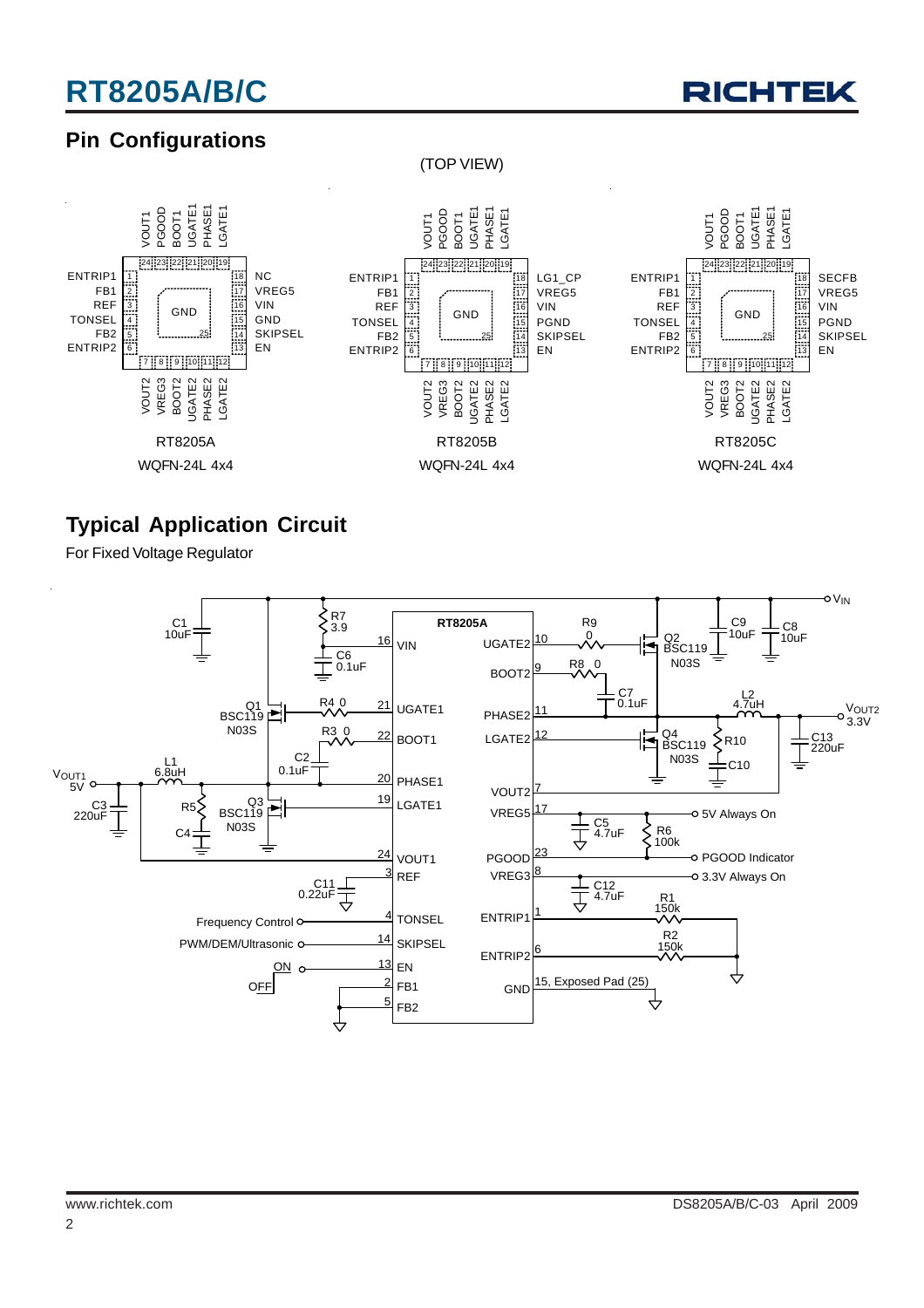

### **Pin Configurations**

(TOP VIEW)



### **Typical Application Circuit**

For Fixed Voltage Regulator



2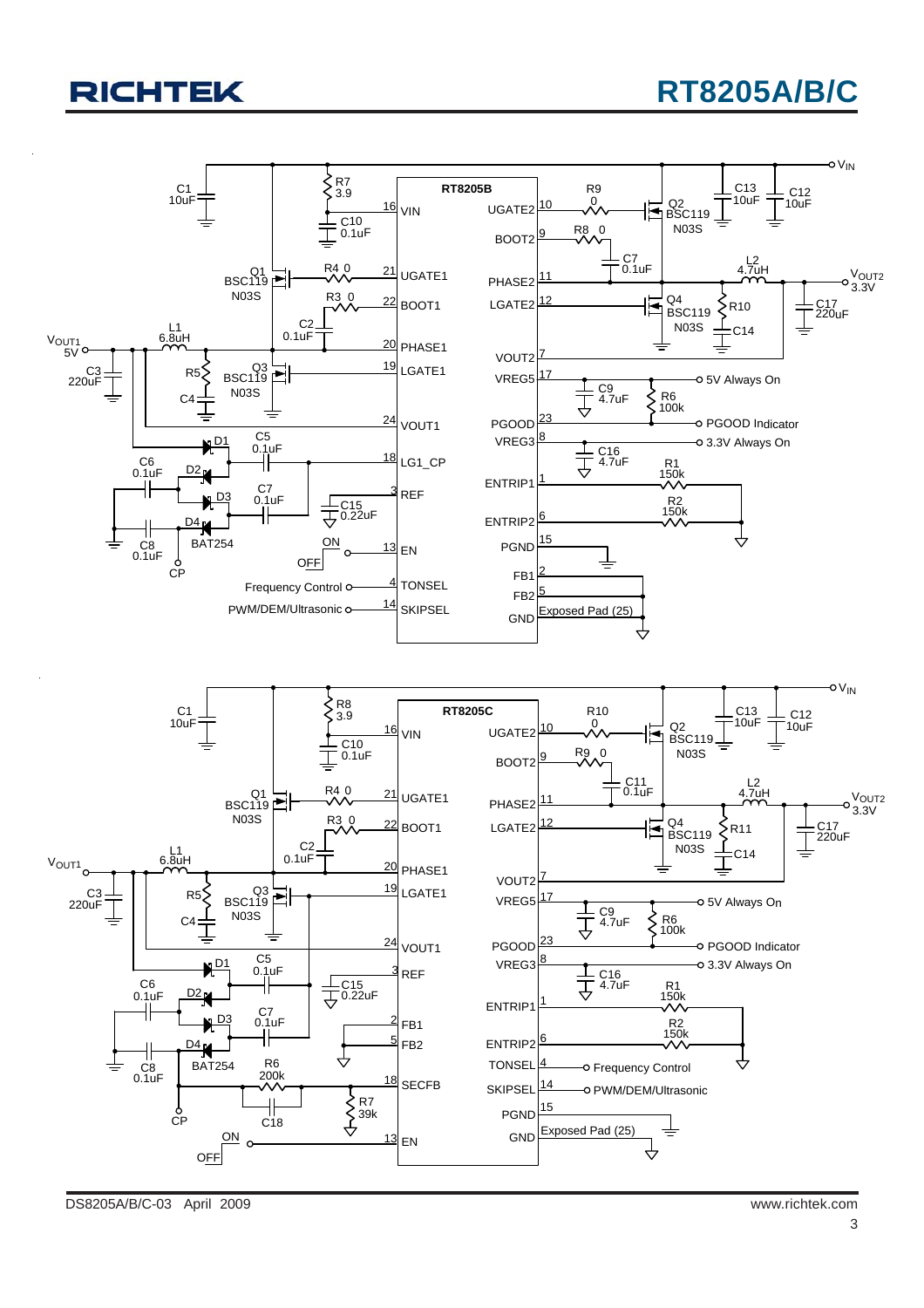## **RT8205A/B/C**

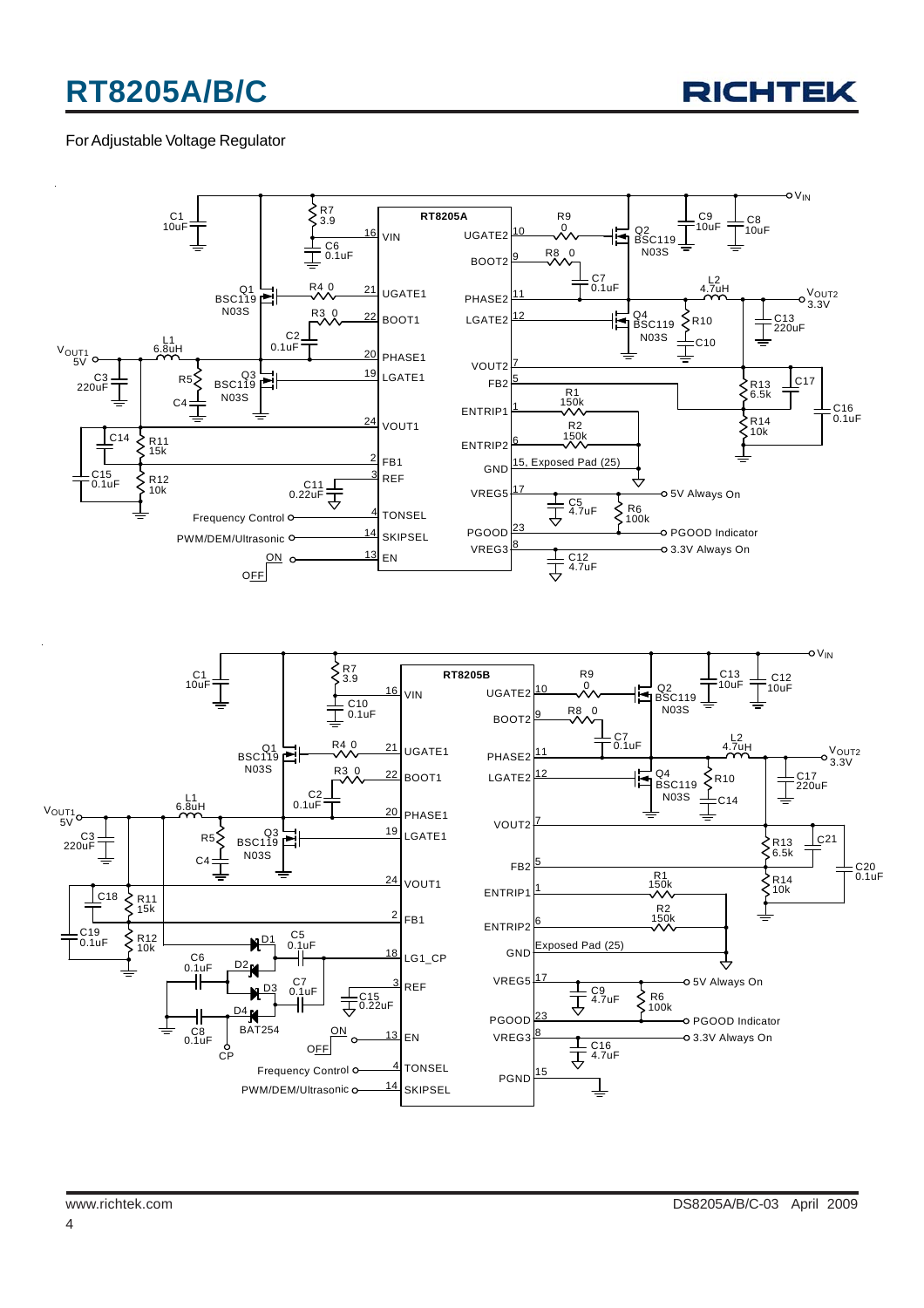

#### For Adjustable Voltage Regulator

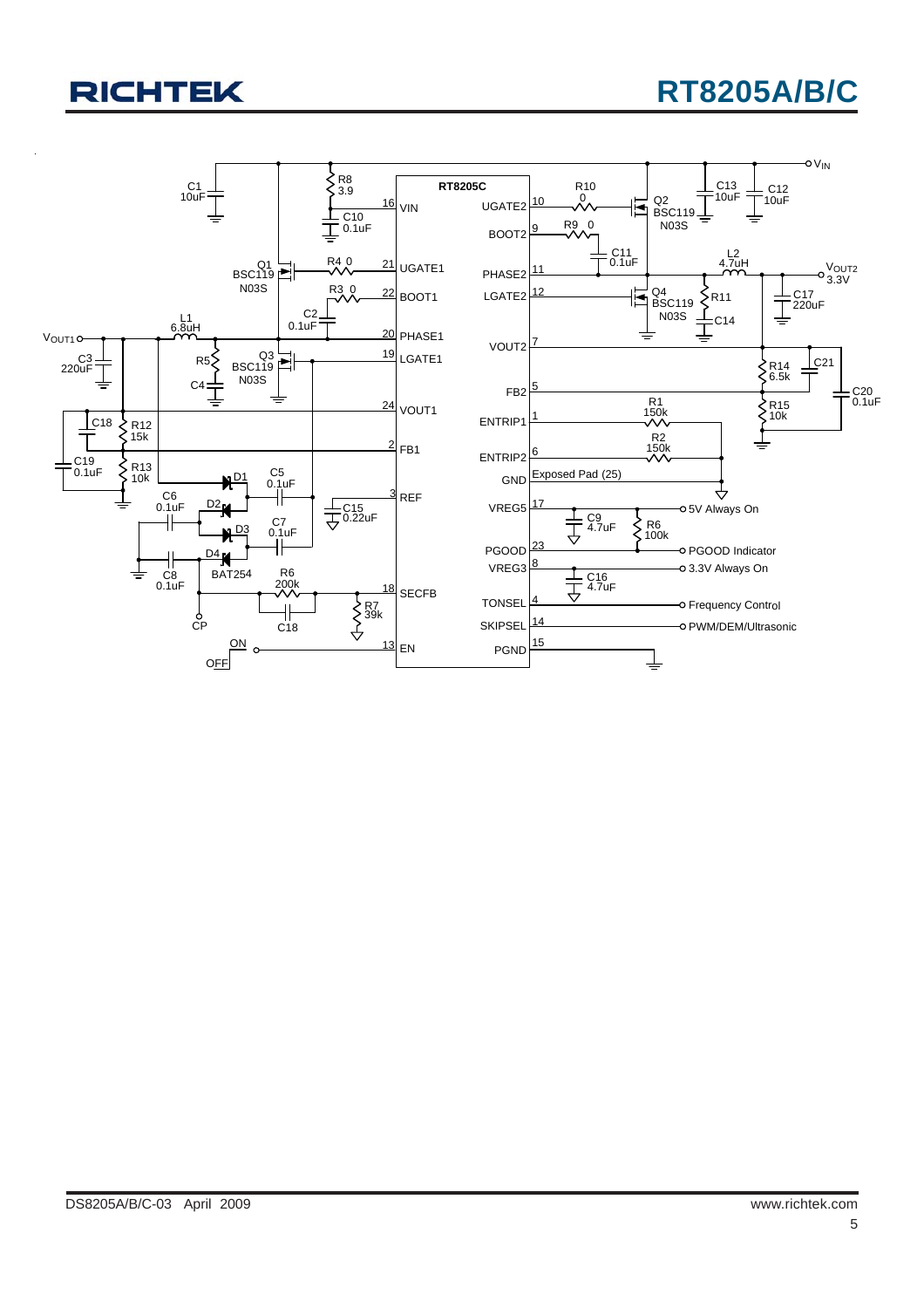## **RT8205A/B/C**

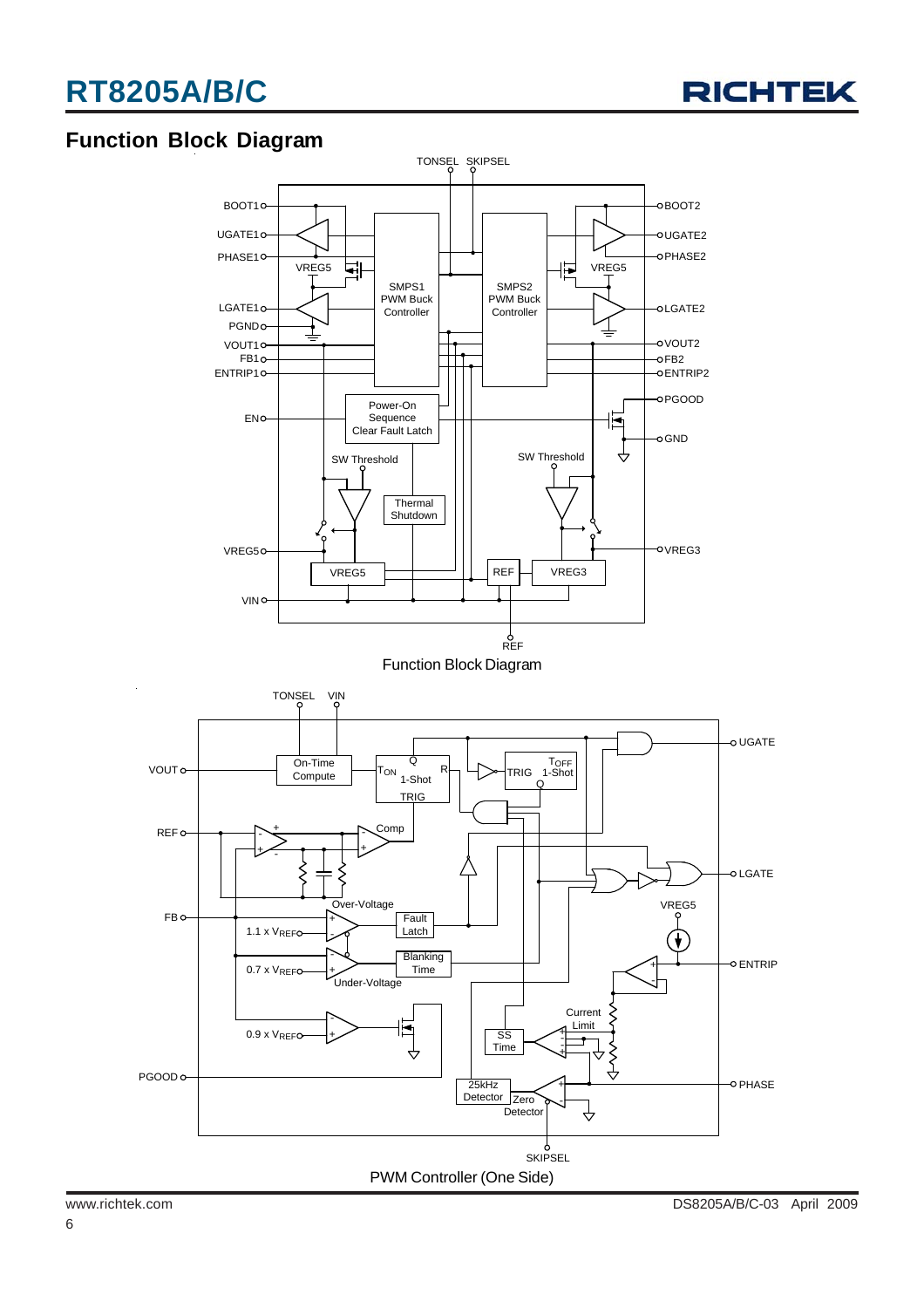

### **Function Block Diagram**

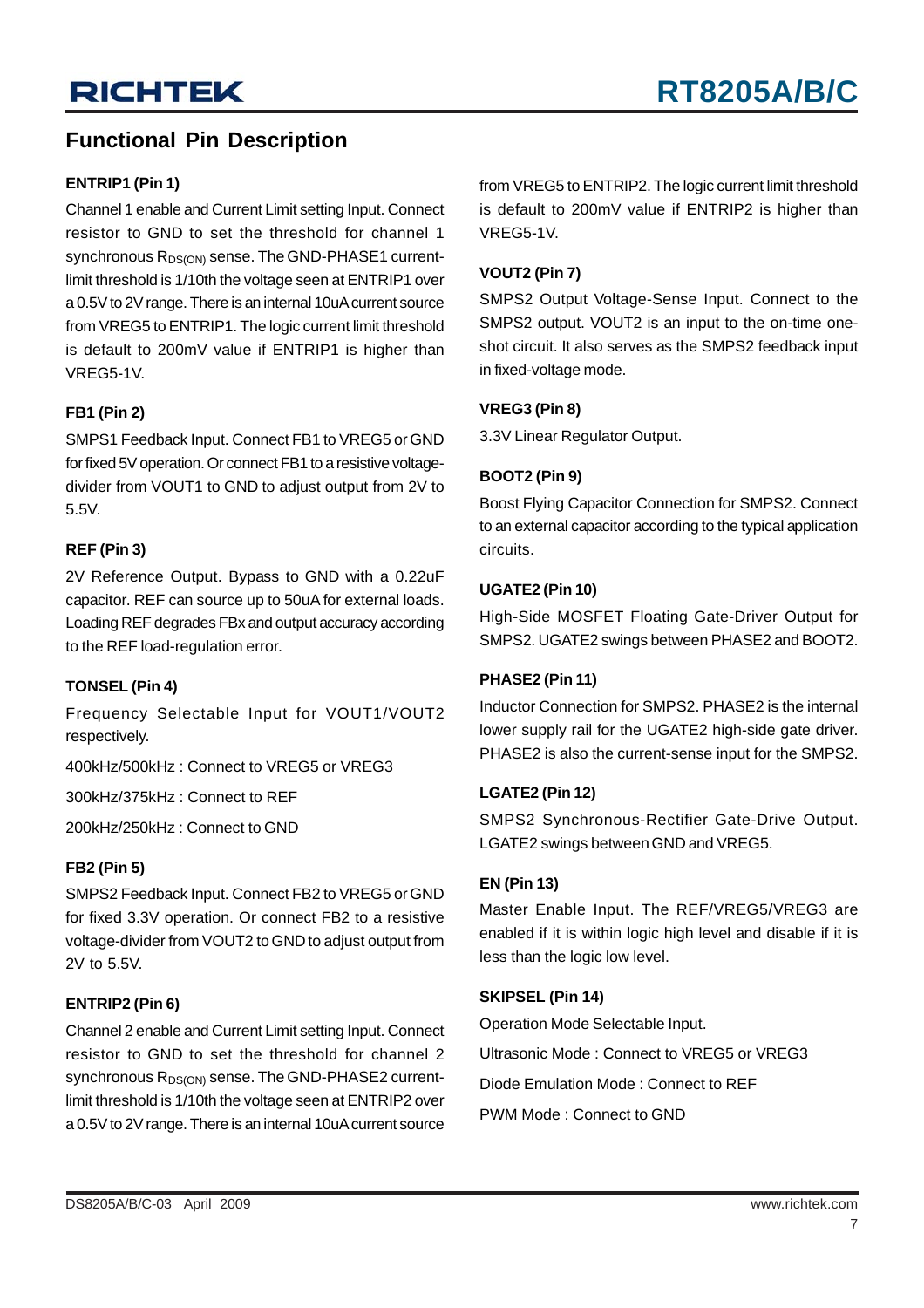### **Functional Pin Description**

#### **ENTRIP1 (Pin 1)**

Channel 1 enable and Current Limit setting Input. Connect resistor to GND to set the threshold for channel 1 synchronous  $R_{DS(ON)}$  sense. The GND-PHASE1 currentlimit threshold is 1/10th the voltage seen at ENTRIP1 over a 0.5V to 2V range. There is an internal 10uA current source from VREG5 to ENTRIP1. The logic current limit threshold is default to 200mV value if ENTRIP1 is higher than VREG5-1V.

#### **FB1 (Pin 2)**

SMPS1 Feedback Input. Connect FB1 to VREG5 or GND for fixed 5V operation. Or connect FB1 to a resistive voltagedivider from VOUT1 to GND to adjust output from 2V to 5.5V.

#### **REF (Pin 3)**

2V Reference Output. Bypass to GND with a 0.22uF capacitor. REF can source up to 50uA for external loads. Loading REF degrades FBx and output accuracy according to the REF load-regulation error.

#### **TONSEL (Pin 4)**

Frequency Selectable Input for VOUT1/VOUT2 respectively.

400kHz/500kHz : Connect to VREG5 or VREG3

300kHz/375kHz : Connect to REF

200kHz/250kHz : Connect to GND

#### **FB2 (Pin 5)**

SMPS2 Feedback Input. Connect FB2 to VREG5 or GND for fixed 3.3V operation. Or connect FB2 to a resistive voltage-divider from VOUT2 to GND to adjust output from 2V to 5.5V.

#### **ENTRIP2 (Pin 6)**

Channel 2 enable and Current Limit setting Input. Connect resistor to GND to set the threshold for channel 2 synchronous  $R_{DS(ON)}$  sense. The GND-PHASE2 currentlimit threshold is 1/10th the voltage seen at ENTRIP2 over a 0.5V to 2V range. There is an internal 10uA current source from VREG5 to ENTRIP2. The logic current limit threshold is default to 200mV value if ENTRIP2 is higher than VREG5-1V.

#### **VOUT2 (Pin 7)**

SMPS2 Output Voltage-Sense Input. Connect to the SMPS2 output. VOUT2 is an input to the on-time oneshot circuit. It also serves as the SMPS2 feedback input in fixed-voltage mode.

#### **VREG3 (Pin 8)**

3.3V Linear Regulator Output.

#### **BOOT2 (Pin 9)**

Boost Flying Capacitor Connection for SMPS2. Connect to an external capacitor according to the typical application circuits.

#### **UGATE2 (Pin 10)**

High-Side MOSFET Floating Gate-Driver Output for SMPS2. UGATE2 swings between PHASE2 and BOOT2.

#### **PHASE2 (Pin 11)**

Inductor Connection for SMPS2. PHASE2 is the internal lower supply rail for the UGATE2 high-side gate driver. PHASE2 is also the current-sense input for the SMPS2.

#### **LGATE2 (Pin 12)**

SMPS2 Synchronous-Rectifier Gate-Drive Output. LGATE2 swings between GND and VREG5.

#### **EN (Pin 13)**

Master Enable Input. The REF/VREG5/VREG3 are enabled if it is within logic high level and disable if it is less than the logic low level.

#### **SKIPSEL (Pin 14)**

Operation Mode Selectable Input. Ultrasonic Mode : Connect to VREG5 or VREG3 Diode Emulation Mode : Connect to REF PWM Mode : Connect to GND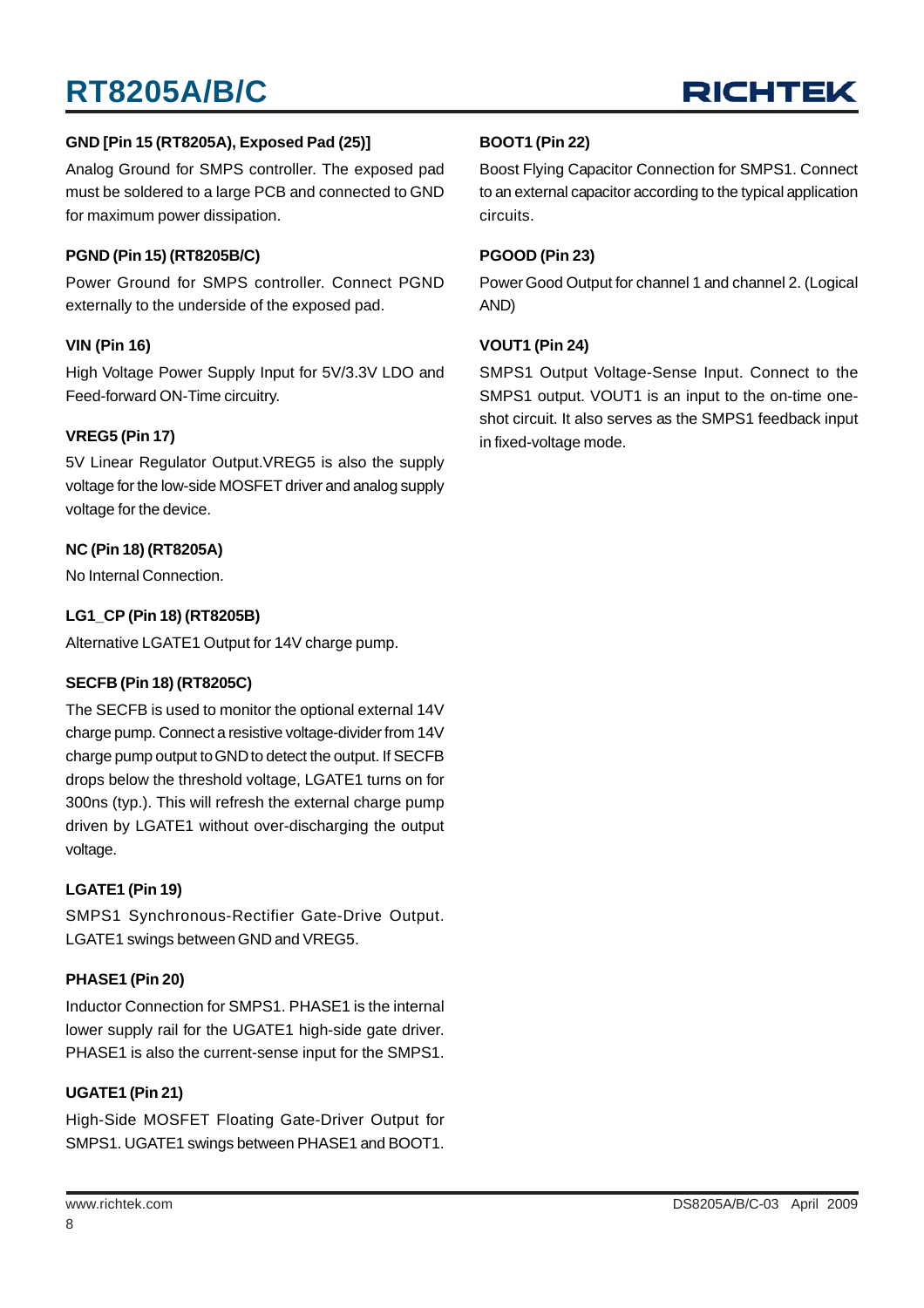

#### **GND [Pin 15 (RT8205A), Exposed Pad (25)]**

Analog Ground for SMPS controller. The exposed pad must be soldered to a large PCB and connected to GND for maximum power dissipation.

#### **PGND (Pin 15) (RT8205B/C)**

Power Ground for SMPS controller. Connect PGND externally to the underside of the exposed pad.

#### **VIN (Pin 16)**

High Voltage Power Supply Input for 5V/3.3V LDO and Feed-forward ON-Time circuitry.

#### **VREG5 (Pin 17)**

5V Linear Regulator Output.VREG5 is also the supply voltage for the low-side MOSFET driver and analog supply voltage for the device.

#### **NC (Pin 18) (RT8205A)**

No Internal Connection.

#### **LG1\_CP (Pin 18) (RT8205B)**

Alternative LGATE1 Output for 14V charge pump.

#### **SECFB (Pin 18) (RT8205C)**

The SECFB is used to monitor the optional external 14V charge pump. Connect a resistive voltage-divider from 14V charge pump output to GND to detect the output. If SECFB drops below the threshold voltage, LGATE1 turns on for 300ns (typ.). This will refresh the external charge pump driven by LGATE1 without over-discharging the output voltage.

#### **LGATE1 (Pin 19)**

SMPS1 Synchronous-Rectifier Gate-Drive Output. LGATE1 swings between GND and VREG5.

#### **PHASE1 (Pin 20)**

Inductor Connection for SMPS1. PHASE1 is the internal lower supply rail for the UGATE1 high-side gate driver. PHASE1 is also the current-sense input for the SMPS1.

#### **UGATE1 (Pin 21)**

High-Side MOSFET Floating Gate-Driver Output for SMPS1. UGATE1 swings between PHASE1 and BOOT1.

#### **BOOT1 (Pin 22)**

Boost Flying Capacitor Connection for SMPS1. Connect to an external capacitor according to the typical application circuits.

#### **PGOOD (Pin 23)**

Power Good Output for channel 1 and channel 2. (Logical AND)

#### **VOUT1 (Pin 24)**

SMPS1 Output Voltage-Sense Input. Connect to the SMPS1 output. VOUT1 is an input to the on-time oneshot circuit. It also serves as the SMPS1 feedback input in fixed-voltage mode.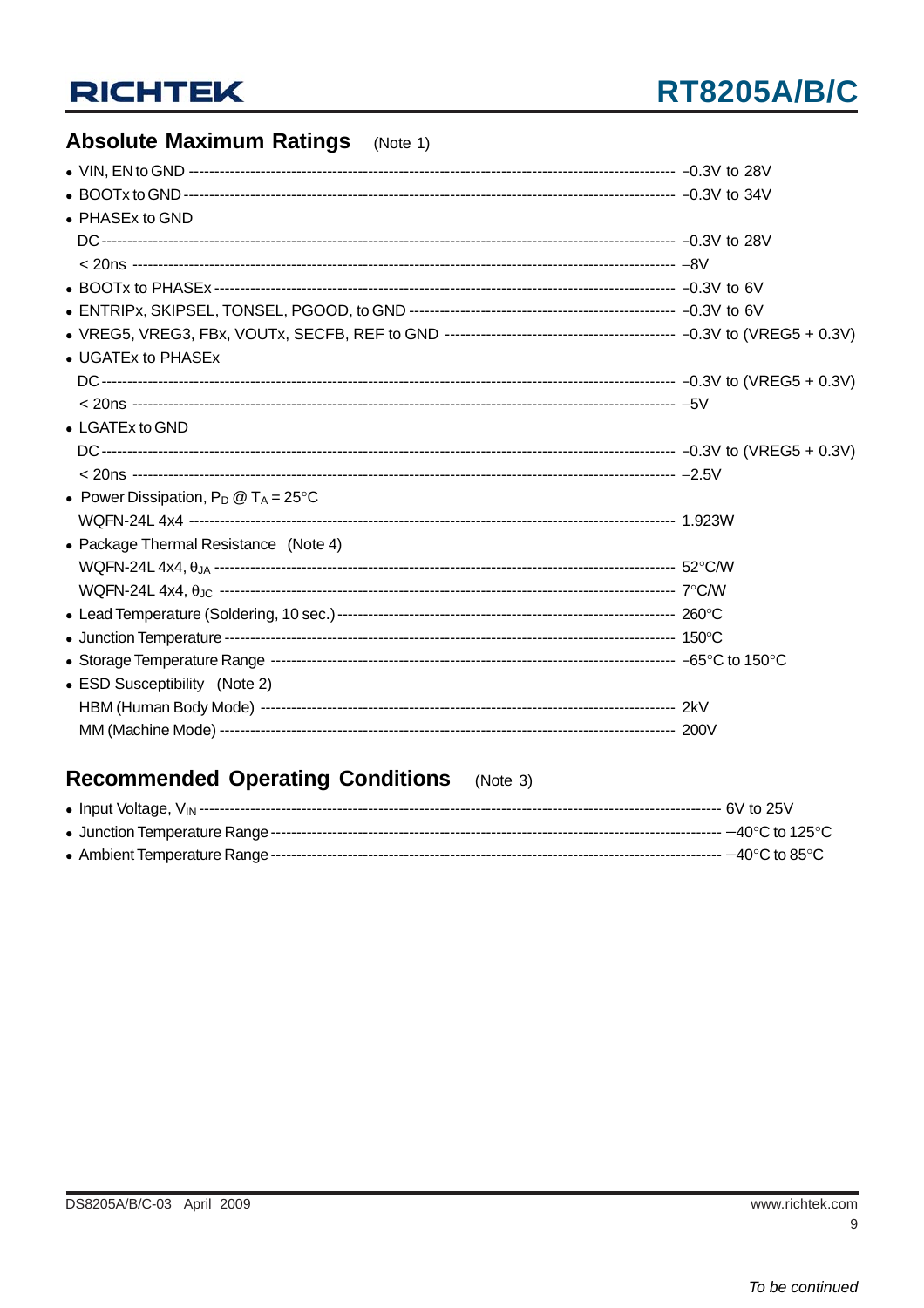### **Absolute Maximum Ratings** (Note 1)

| • PHASEx to GND                                |  |
|------------------------------------------------|--|
|                                                |  |
|                                                |  |
|                                                |  |
|                                                |  |
|                                                |  |
| • UGATEx to PHASEx                             |  |
|                                                |  |
|                                                |  |
| • LGATEx to GND                                |  |
|                                                |  |
|                                                |  |
| • Power Dissipation, $P_D @ T_A = 25^{\circ}C$ |  |
|                                                |  |
| • Package Thermal Resistance (Note 4)          |  |
|                                                |  |
|                                                |  |
|                                                |  |
|                                                |  |
|                                                |  |
| • ESD Susceptibility (Note 2)                  |  |
|                                                |  |
|                                                |  |

#### **Recommended Operating Conditions**  $(Note 3)$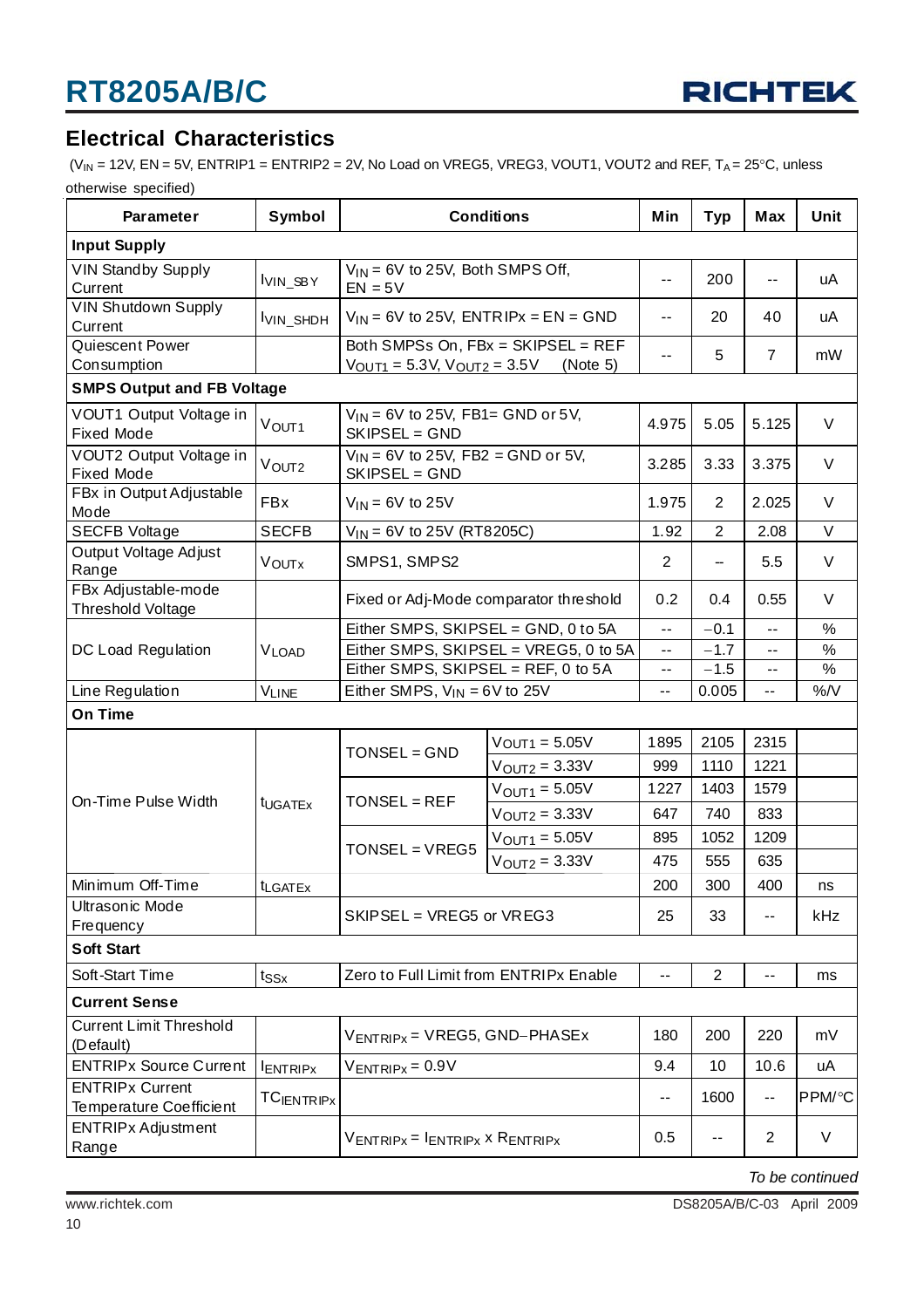

### **Electrical Characteristics**

( $V_{IN}$  = 12V, EN = 5V, ENTRIP1 = ENTRIP2 = 2V, No Load on VREG5, VREG3, VOUT1, VOUT2 and REF, T<sub>A</sub> = 25°C, unless otherwise specified)

| <b>Parameter</b>                                         | Symbol              |                                                                         | <b>Conditions</b>                    | Min        | <b>Typ</b>        | Max                      | Unit   |
|----------------------------------------------------------|---------------------|-------------------------------------------------------------------------|--------------------------------------|------------|-------------------|--------------------------|--------|
| <b>Input Supply</b>                                      |                     |                                                                         |                                      |            |                   |                          |        |
| <b>VIN Standby Supply</b><br>Current                     | VIN_SBY             | $EN = 5V$                                                               | $V_{IN}$ = 6V to 25V, Both SMPS Off, |            |                   | $\overline{\phantom{a}}$ | uA     |
| VIN Shutdown Supply<br>Current                           | VIN_SHDH            | $V_{IN}$ = 6V to 25V, ENTRIPx = EN = GND                                |                                      | --         | 20                | 40                       | uA     |
| Quiescent Power                                          |                     |                                                                         | Both SMPSs On, FBx = SKIPSEL = REF   | --         | 5                 | $\overline{7}$           | mW     |
| Consumption                                              |                     | $V_{\text{OUT1}} = 5.3 \text{V}, \text{V}_{\text{OUT2}} = 3.5 \text{V}$ | (Note 5)                             |            |                   |                          |        |
| <b>SMPS Output and FB Voltage</b>                        |                     |                                                                         |                                      |            |                   |                          |        |
| VOUT1 Output Voltage in<br><b>Fixed Mode</b>             | V <sub>OUT1</sub>   | $V_{IN}$ = 6V to 25V, FB1= GND or 5V,<br>SKIPSEL = GND                  |                                      | 4.975      | 5.05              | 5.125                    | V      |
| VOUT2 Output Voltage in<br><b>Fixed Mode</b>             | V <sub>OUT2</sub>   | $V_{IN}$ = 6V to 25V, FB2 = GND or 5V,<br>SKIPSEL = GND                 |                                      | 3.285      | 3.33              | 3.375                    | V      |
| FBx in Output Adjustable<br>Mode                         | <b>FBx</b>          | $V_{IN}$ = 6V to 25V                                                    |                                      | 1.975      | $\overline{2}$    | 2.025                    | V      |
| <b>SECFB Voltage</b>                                     | <b>SECFB</b>        | $V_{1N}$ = 6V to 25V (RT8205C)                                          |                                      | 1.92       | $\overline{2}$    | 2.08                     | V      |
| Output Voltage Adjust<br>Range                           | <b>VOUTX</b>        | SMPS1, SMPS2                                                            |                                      | 2          | -                 | 5.5                      | V      |
| FBx Adjustable-mode<br><b>Threshold Voltage</b>          |                     | Fixed or Adj-Mode comparator threshold                                  |                                      |            | 0.4               | 0.55                     | V      |
|                                                          |                     | Either SMPS, SKIPSEL = GND, 0 to 5A                                     |                                      |            | $-0.1$            | $- -$                    | $\%$   |
| DC Load Regulation                                       | <b>VLOAD</b>        | Either SMPS, SKIPSEL = VREG5, 0 to 5A                                   |                                      | $\sim$ $-$ | $-1.7$            | $\sim$ $-$               | %      |
|                                                          |                     | Either SMPS, SKIPSEL = REF, 0 to 5A                                     |                                      |            | $-1.5$            | $\sim$ $-$               | %      |
| Line Regulation                                          | <b>VLINE</b>        | Either SMPS, $V_{IN} = 6V$ to 25V                                       | --                                   | 0.005      | --                | %N                       |        |
| On Time                                                  |                     |                                                                         |                                      |            |                   |                          |        |
|                                                          |                     | TONSEL = GND                                                            | $V$ OUT <sub>1</sub> = 5.05 $V$      | 1895       | 2105              | 2315                     |        |
|                                                          |                     |                                                                         | $V_{\text{OUT2}} = 3.33V$            | 999        | 1110              | 1221                     |        |
| On-Time Pulse Width                                      |                     | TONSEL = REF                                                            | $V_{\text{OUT1}} = 5.05V$            | 1227       | 1403              | 1579                     |        |
|                                                          | t <sub>UGATEx</sub> |                                                                         | $V$ OUT2 = $3.33V$                   | 647        | 740               | 833                      |        |
|                                                          |                     |                                                                         | $V_{OUT1} = 5.05V$                   | 895        | 1052              | 1209                     |        |
|                                                          |                     | $TONSEL = VREG5$                                                        | $V_{\text{OUT2}} = 3.33V$            | 475        | 555               | 635                      |        |
| Minimum Off-Time                                         | <b>t</b> LGATEx     |                                                                         |                                      | 200        | 300               | 400                      | ns     |
| <b>Ultrasonic Mode</b>                                   |                     | $SKIPSEL = VREG5$ or $VREG3$                                            |                                      |            | 33                | $\overline{\phantom{m}}$ | kHz    |
| Frequency                                                |                     |                                                                         |                                      | 25         |                   |                          |        |
| <b>Soft Start</b>                                        |                     |                                                                         |                                      |            |                   |                          |        |
| Soft-Start Time                                          | $t_{SSx}$           | Zero to Full Limit from ENTRIPx Enable                                  |                                      |            | $\overline{2}$    | --                       | ms     |
| <b>Current Sense</b>                                     |                     |                                                                         |                                      |            |                   |                          |        |
| <b>Current Limit Threshold</b><br>(Default)              |                     | $V_{ENTRIPx}$ = VREG5, GND-PHASEx                                       |                                      |            | 200               | 220                      | mV     |
| <b>ENTRIPx Source Current</b>                            | <b>ENTRIPX</b>      | $V_{ENTRIPx} = 0.9V$                                                    |                                      | 9.4        | 10                | 10.6                     | uA     |
| <b>ENTRIPx Current</b><br><b>Temperature Coefficient</b> | <b>TCIENTRIPX</b>   |                                                                         |                                      | --         | 1600              | $\sim$ $-$               | PPM/°C |
| <b>ENTRIPx Adjustment</b><br>Range                       |                     | $V_{ENTRIPx} = I_{ENTRIPx} \times R_{ENTRIPx}$                          |                                      | 0.5        | $\qquad \qquad -$ | $\overline{2}$           | V      |

*To be continued*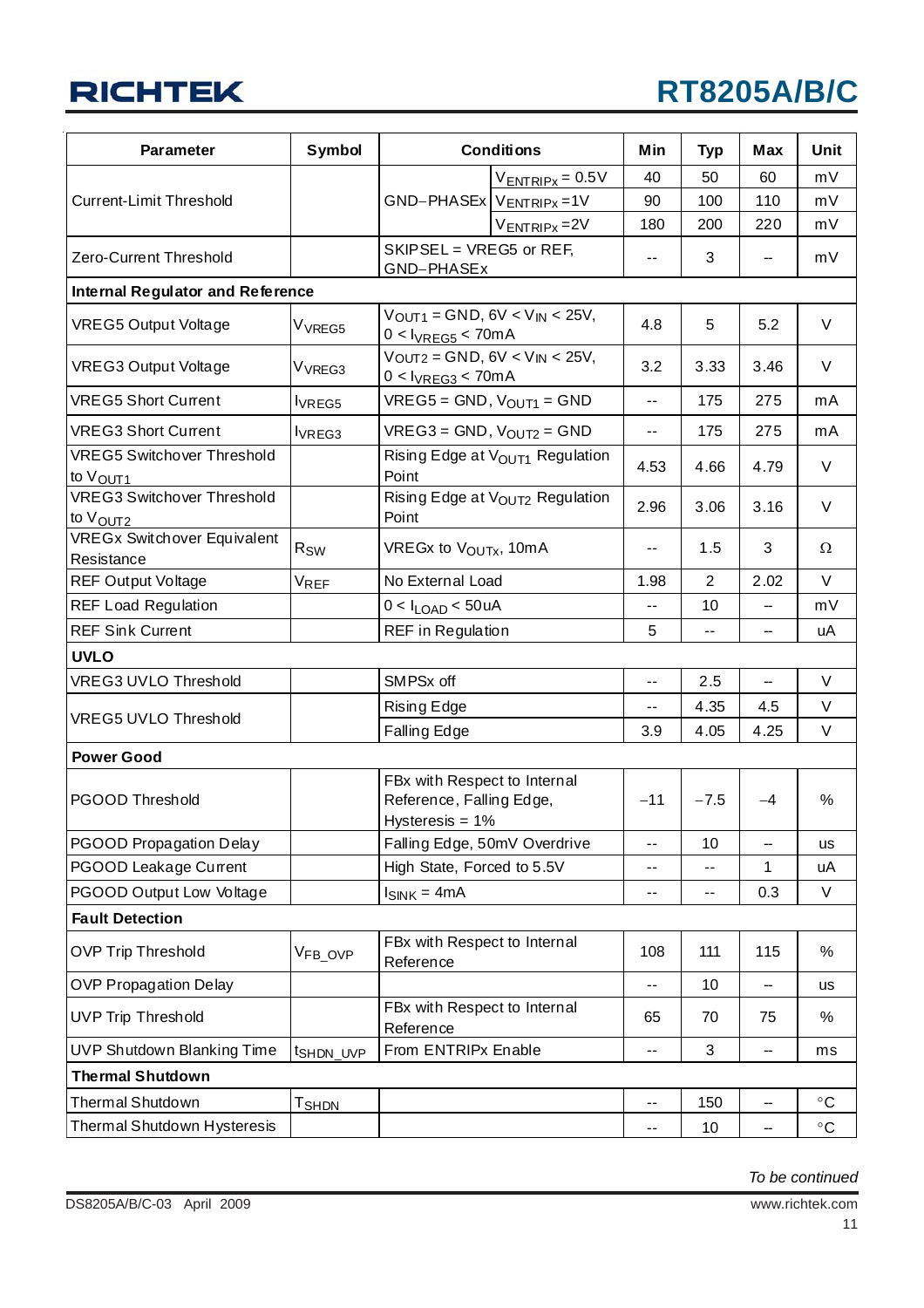## **RT8205A/B/C**

| Parameter                                                 | <b>Symbol</b>         | <b>Conditions</b>                                                              | Min                        | <b>Typ</b>     | Max  | Unit              |
|-----------------------------------------------------------|-----------------------|--------------------------------------------------------------------------------|----------------------------|----------------|------|-------------------|
|                                                           |                       | $V_{ENTRIPx} = 0.5V$                                                           | 40                         | 50             | 60   | mV                |
| <b>Current-Limit Threshold</b>                            |                       | $GND-PHASEx$ VENTRIPx = 1V                                                     | 90                         | 100            | 110  | mV                |
|                                                           |                       | $V_{ENTRIPx} = 2V$                                                             | 180                        | 200            | 220  | mV                |
| Zero-Current Threshold                                    |                       | SKIPSEL = VREG5 or REF,<br>GND-PHASEx                                          | $- -$                      | 3              |      | mV                |
| <b>Internal Regulator and Reference</b>                   |                       |                                                                                |                            |                |      |                   |
| <b>VREG5 Output Voltage</b>                               | V <sub>VREG5</sub>    | $V$ OUT1 = GND, 6V < $V$ IN < 25V,<br>$0 < I_{VREG5} < 70mA$                   | 4.8                        | 5              | 5.2  | V                 |
| <b>VREG3 Output Voltage</b>                               | V <sub>VREG3</sub>    | $V_{OUT2} = GND$ , $6V < V_{IN} < 25V$ ,<br>$0 < I_{VREG3} < 70mA$             | 3.2                        | 3.33           | 3.46 | V                 |
| <b>VREG5 Short Current</b>                                | <b>VREG5</b>          | $VREG5 = GND$ , $V_{OUT1} = GND$                                               | --                         | 175            | 275  | mA                |
| <b>VREG3 Short Current</b>                                | lvREG3                | $VREG3 = GND$ , $V_{OUT2} = GND$                                               | --                         | 175            | 275  | mA                |
| <b>VREG5 Switchover Threshold</b><br>to V <sub>OUT1</sub> |                       | Rising Edge at V <sub>OUT1</sub> Regulation<br>Point                           | 4.53                       | 4.66           | 4.79 | V                 |
| <b>VREG3 Switchover Threshold</b><br>to V <sub>OUT2</sub> |                       | Rising Edge at VOUT2 Regulation<br>Point                                       | 2.96                       | 3.06           | 3.16 | V                 |
| <b>VREGx Switchover Equivalent</b><br>Resistance          | $R_{SW}$              | VREGx to V <sub>OUTx</sub> , 10mA                                              | $- -$                      | 1.5            | 3    | $\Omega$          |
| <b>REF Output Voltage</b>                                 | <b>VREF</b>           | No External Load                                                               | 1.98                       | $\overline{2}$ | 2.02 | V                 |
| <b>REF Load Regulation</b>                                |                       | $0 < I_{LOAD} < 50$ uA                                                         | --                         | 10             |      | mV                |
| <b>REF Sink Current</b>                                   |                       | <b>REF</b> in Regulation                                                       | 5                          | $-$            |      | uA                |
| <b>UVLO</b>                                               |                       |                                                                                |                            |                |      |                   |
| VREG3 UVLO Threshold                                      |                       | SMPSx off                                                                      | $-$                        | 2.5            |      | V                 |
|                                                           |                       | Rising Edge                                                                    | --                         | 4.35           | 4.5  | V                 |
| <b>VREG5 UVLO Threshold</b>                               |                       | <b>Falling Edge</b>                                                            |                            | 4.05           | 4.25 | V                 |
| <b>Power Good</b>                                         |                       |                                                                                |                            |                |      |                   |
| PGOOD Threshold                                           |                       | FBx with Respect to Internal<br>Reference, Falling Edge,<br>Hysteresis = $1\%$ | $-11$                      | $-7.5$         | $-4$ | %                 |
| <b>PGOOD Propagation Delay</b>                            |                       | Falling Edge, 50mV Overdrive                                                   | --                         | 10             | --   | <b>us</b>         |
| PGOOD Leakage Current                                     |                       | High State, Forced to 5.5V                                                     | --                         | $-$            | 1    | uА                |
| PGOOD Output Low Voltage                                  |                       | $I_{SINK} = 4mA$                                                               |                            | ۰.             | 0.3  | V                 |
| <b>Fault Detection</b>                                    |                       |                                                                                |                            |                |      |                   |
| <b>OVP Trip Threshold</b>                                 | VFB_OVP               | FBx with Respect to Internal<br>Reference                                      | 108                        | 111            | 115  | %                 |
| <b>OVP Propagation Delay</b>                              |                       |                                                                                | --                         | 10             | --   | <b>us</b>         |
| <b>UVP Trip Threshold</b>                                 |                       | FBx with Respect to Internal<br>Reference                                      | 65                         | 70             | 75   | %                 |
| UVP Shutdown Blanking Time                                | t <sub>SHDN_UVP</sub> | From ENTRIPx Enable                                                            |                            | 3              | --   | ms                |
| <b>Thermal Shutdown</b>                                   |                       |                                                                                |                            |                |      |                   |
| Thermal Shutdown                                          | T <sub>SHDN</sub>     |                                                                                | $-$                        | 150            | --   | $^{\circ}$ C      |
| Thermal Shutdown Hysteresis                               |                       |                                                                                | $\overline{\phantom{a}}$ . | 10             | --   | $^\circ \text{C}$ |

*To be continued*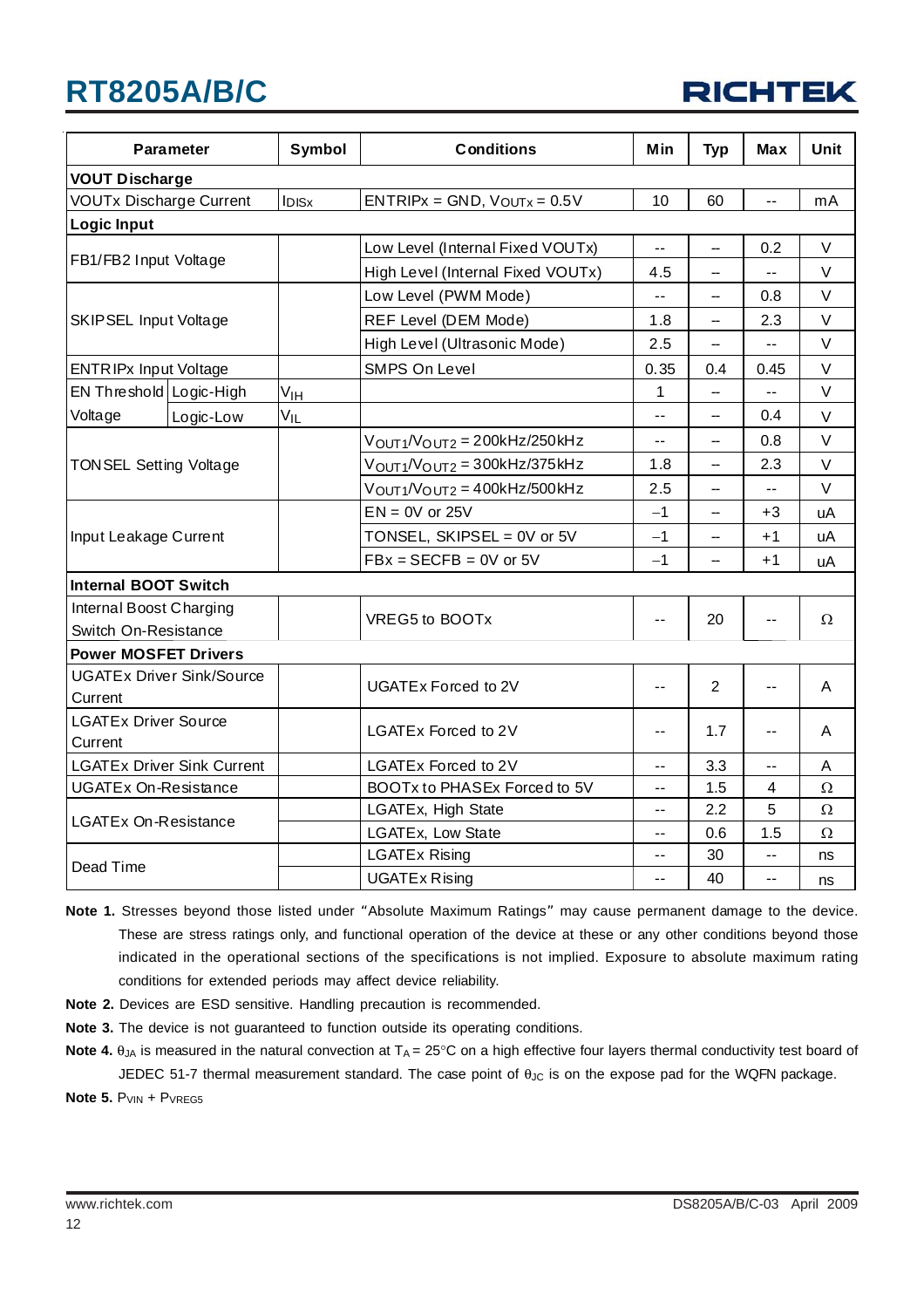|  | <b>RICHTEK</b> |  |  |  |  |
|--|----------------|--|--|--|--|
|--|----------------|--|--|--|--|

| <b>Parameter</b>               |                                   | Symbol            | <b>Conditions</b>                   | Min  | <b>Typ</b>     | Max  | <b>Unit</b> |  |  |
|--------------------------------|-----------------------------------|-------------------|-------------------------------------|------|----------------|------|-------------|--|--|
| <b>VOUT Discharge</b>          |                                   |                   |                                     |      |                |      |             |  |  |
| <b>VOUTx Discharge Current</b> |                                   | I <sub>DISx</sub> | $ENTRIPx = GND$ , $V_{OUTx} = 0.5V$ | 10   | 60             | --   | mA          |  |  |
| <b>Logic Input</b>             |                                   |                   |                                     |      |                |      |             |  |  |
|                                |                                   |                   | Low Level (Internal Fixed VOUTx)    | --   | -              | 0.2  | V           |  |  |
| FB1/FB2 Input Voltage          |                                   |                   | High Level (Internal Fixed VOUTx)   | 4.5  | -              | --   | V           |  |  |
|                                |                                   |                   | Low Level (PWM Mode)                | --   | --             | 0.8  | $\vee$      |  |  |
| <b>SKIPSEL Input Voltage</b>   |                                   |                   | REF Level (DEM Mode)                | 1.8  | --             | 2.3  | V           |  |  |
|                                |                                   |                   | High Level (Ultrasonic Mode)        | 2.5  | --             | $-$  | V           |  |  |
| <b>ENTRIPx Input Voltage</b>   |                                   |                   | SMPS On Level                       | 0.35 | 0.4            | 0.45 | V           |  |  |
| EN Threshold Logic-High        |                                   | V <sub>IH</sub>   |                                     | 1    | --             | $-$  | $\vee$      |  |  |
| Voltage                        | Logic-Low                         | V <sub>IL</sub>   |                                     | --   | --             | 0.4  | $\vee$      |  |  |
|                                |                                   |                   | $VOUT1/VOUT2 = 200kHz/250kHz$       | --   | --             | 0.8  | $\vee$      |  |  |
| <b>TONSEL Setting Voltage</b>  |                                   |                   | $VOUT1/VOUT2 = 300kHz/375kHz$       | 1.8  | --             | 2.3  | V           |  |  |
|                                |                                   |                   | $V_{OUT1}/V_{OUT2} = 400kHz/500kHz$ | 2.5  | --             | --   | $\vee$      |  |  |
|                                |                                   |                   | $EN = 0V$ or 25V                    | $-1$ | --             | $+3$ | uA          |  |  |
| Input Leakage Current          |                                   |                   | TONSEL, SKIPSEL = 0V or 5V          | $-1$ | --             | $+1$ | uA          |  |  |
|                                |                                   |                   | $FBx = SECFB = 0V$ or 5V            |      | --             | $+1$ | uA          |  |  |
| <b>Internal BOOT Switch</b>    |                                   |                   |                                     |      |                |      |             |  |  |
| Internal Boost Charging        |                                   |                   |                                     |      | 20             | $-$  | Ω           |  |  |
| Switch On-Resistance           |                                   |                   | VREG5 to BOOTx                      | --   |                |      |             |  |  |
| <b>Power MOSFET Drivers</b>    |                                   |                   |                                     |      |                |      |             |  |  |
|                                | <b>UGATEx Driver Sink/Source</b>  |                   | UGATEx Forced to 2V                 | --   | $\overline{2}$ | $-$  | A           |  |  |
| Current                        |                                   |                   |                                     |      |                |      |             |  |  |
| <b>LGATEx Driver Source</b>    |                                   |                   | LGATEx Forced to 2V                 | ۰.   | 1.7            | $-$  | A           |  |  |
| Current                        |                                   |                   |                                     |      |                |      |             |  |  |
|                                | <b>LGATEx Driver Sink Current</b> |                   | LGATEx Forced to 2V<br>--           |      | 3.3            | $-1$ | A           |  |  |
| <b>UGATEx On-Resistance</b>    |                                   |                   | BOOTx to PHASEx Forced to 5V        | $-$  | 1.5            | 4    | $\Omega$    |  |  |
| <b>LGATEx On-Resistance</b>    |                                   |                   | LGATEx, High State                  | --   | 2.2            | 5    | Ω           |  |  |
|                                |                                   |                   | LGATEx, Low State                   | --   | 0.6            | 1.5  | $\Omega$    |  |  |
| Dead Time                      |                                   |                   | <b>LGATEx Rising</b>                | --   | 30             | --   | ns          |  |  |
|                                |                                   |                   | <b>UGATEx Rising</b>                | --   | 40             | $-$  | ns          |  |  |

**Note 1.** Stresses beyond those listed under "Absolute Maximum Ratings" may cause permanent damage to the device. These are stress ratings only, and functional operation of the device at these or any other conditions beyond those indicated in the operational sections of the specifications is not implied. Exposure to absolute maximum rating conditions for extended periods may affect device reliability.

- **Note 2.** Devices are ESD sensitive. Handling precaution is recommended.
- **Note 3.** The device is not guaranteed to function outside its operating conditions.
- Note 4. θ<sub>JA</sub> is measured in the natural convection at T<sub>A</sub> = 25°C on a high effective four layers thermal conductivity test board of JEDEC 51-7 thermal measurement standard. The case point of  $\theta_{\text{JC}}$  is on the expose pad for the WQFN package.

**Note 5. P**VIN + PVREG5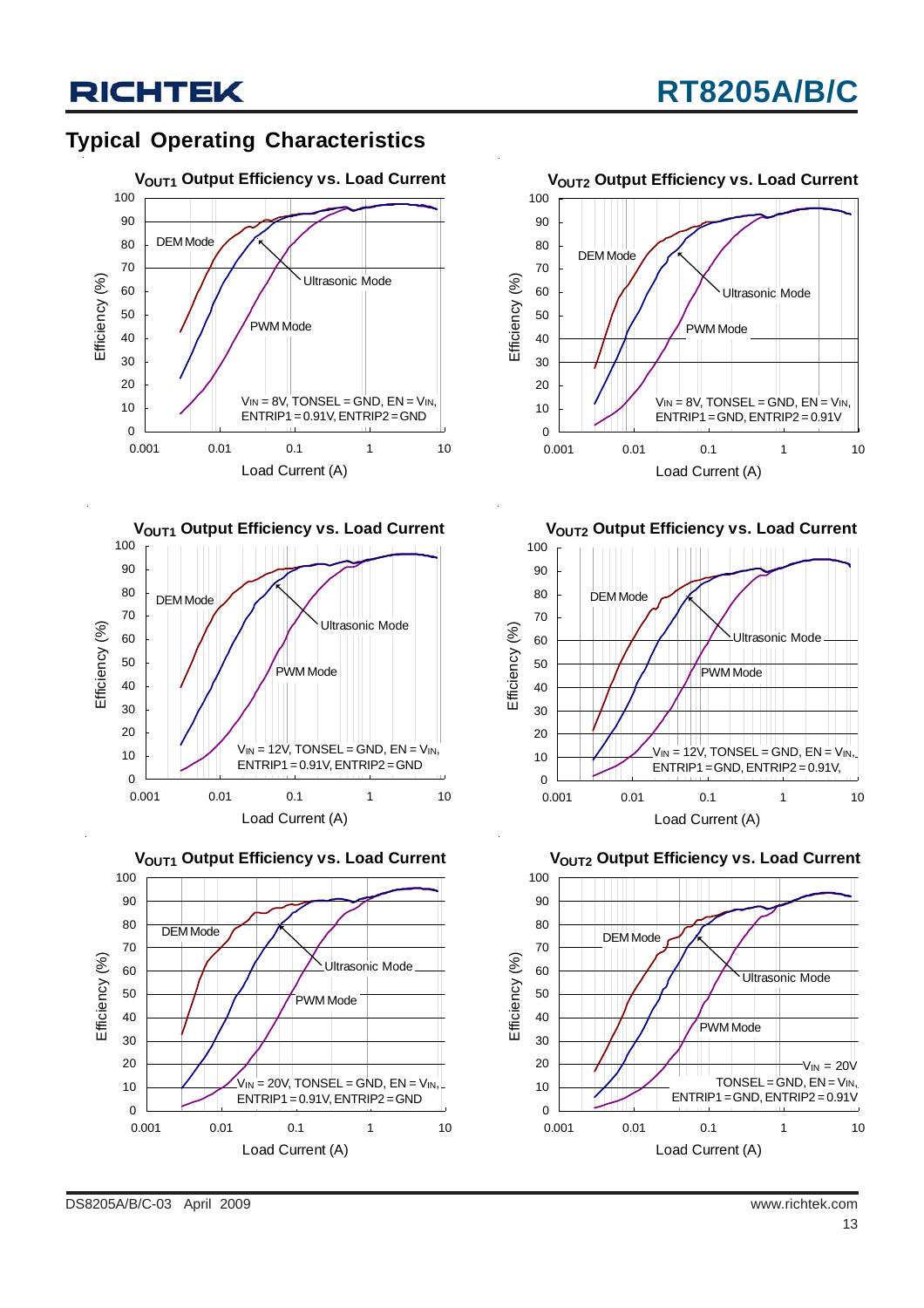### **Typical Operating Characteristics**









**VOUT2 Output Efficiency vs. Load Current** 



**VOUT2 Output Efficiency vs. Load Current** 

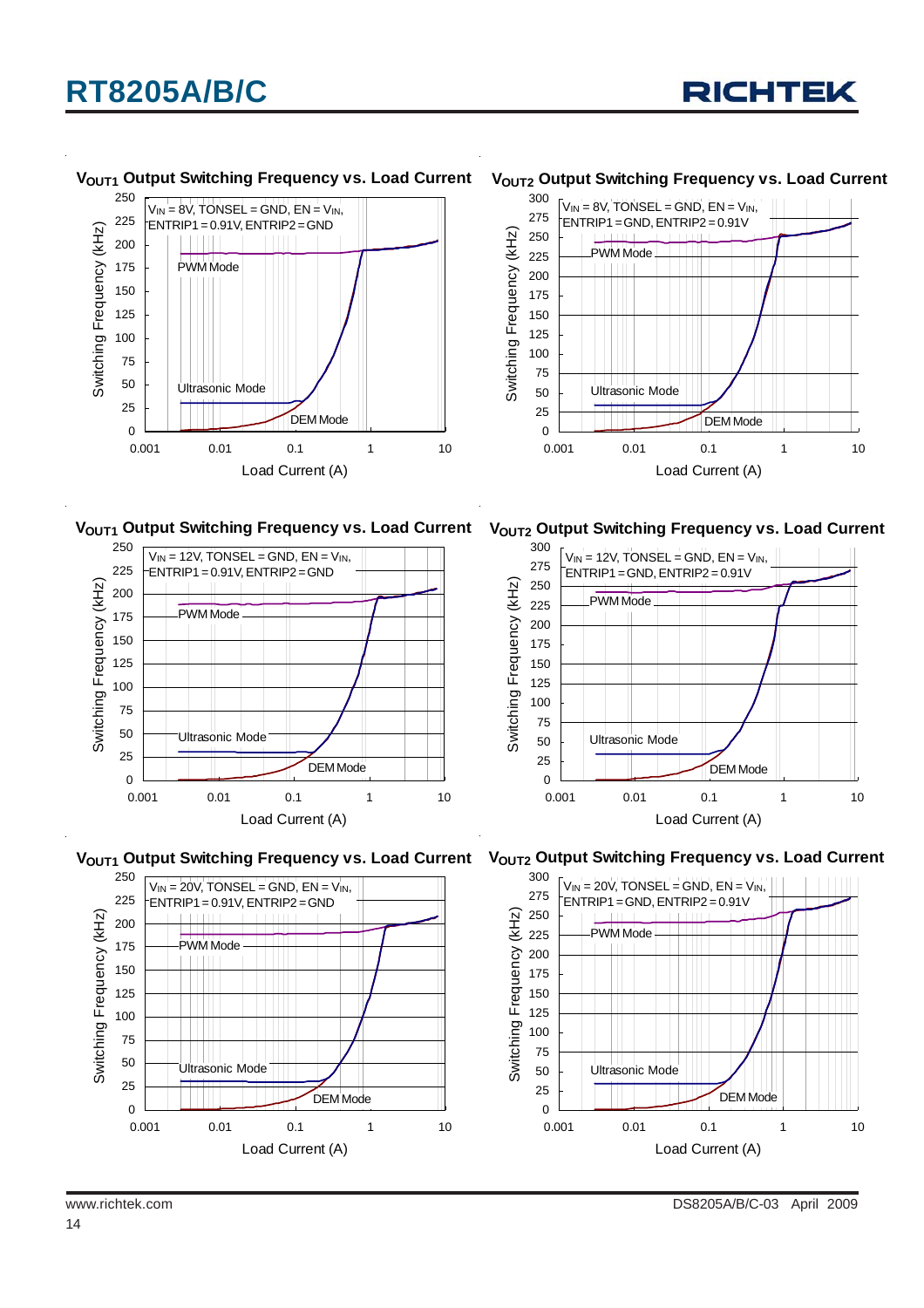



#### **VOUT1 Output Switching Frequency vs. Load Current**

#### **VOUT2 Output Switching Frequency vs. Load Current**



V<sub>OUT1</sub> Output Switching Frequency vs. Load Current V<sub>OUT2</sub> Output Switching Frequency vs. Load Current











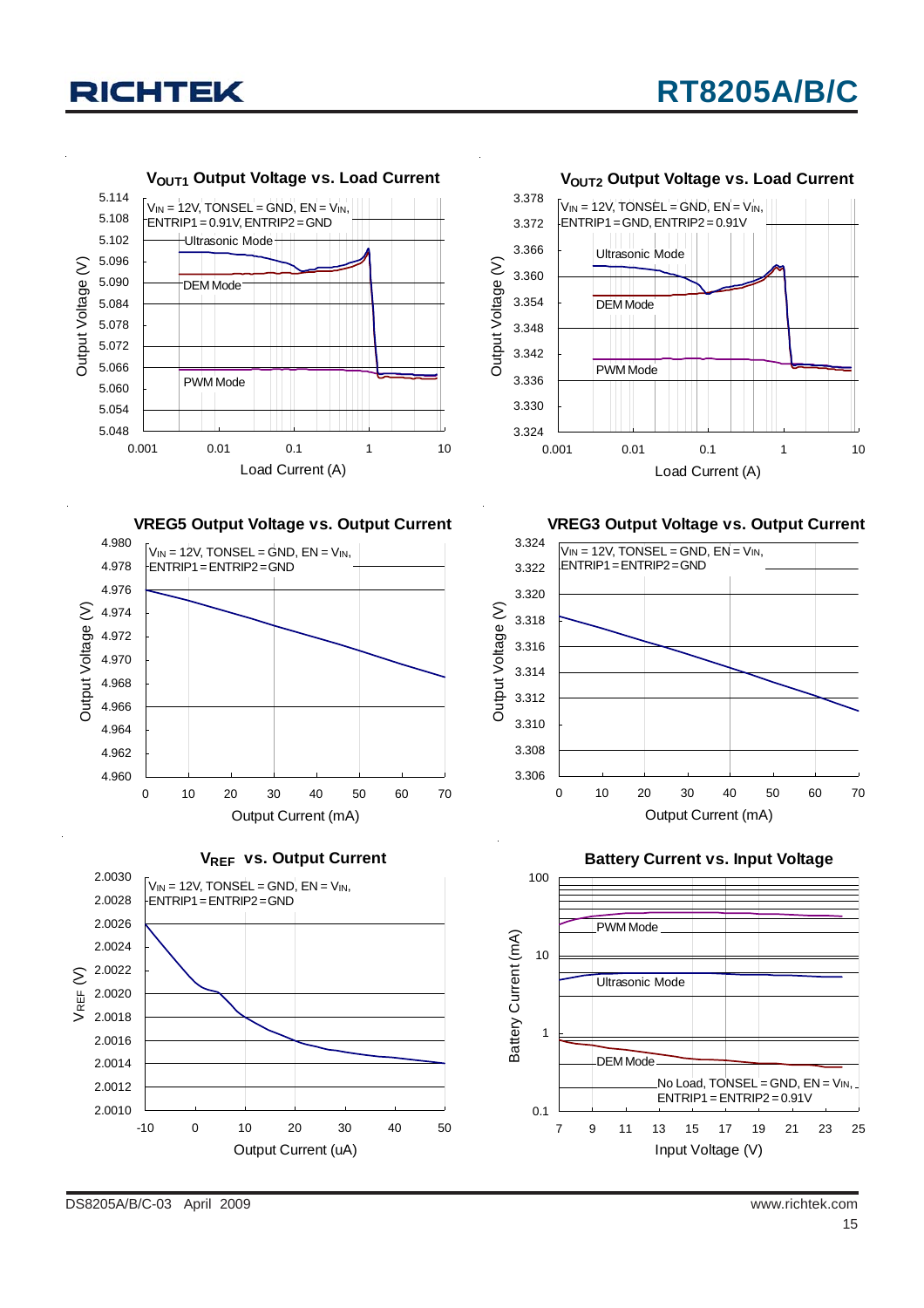



**VREG3 Output Voltage vs. Output Current**









**Battery Current vs. Input Voltage**



DS8205A/B/C-03 April 2009 www.richtek.com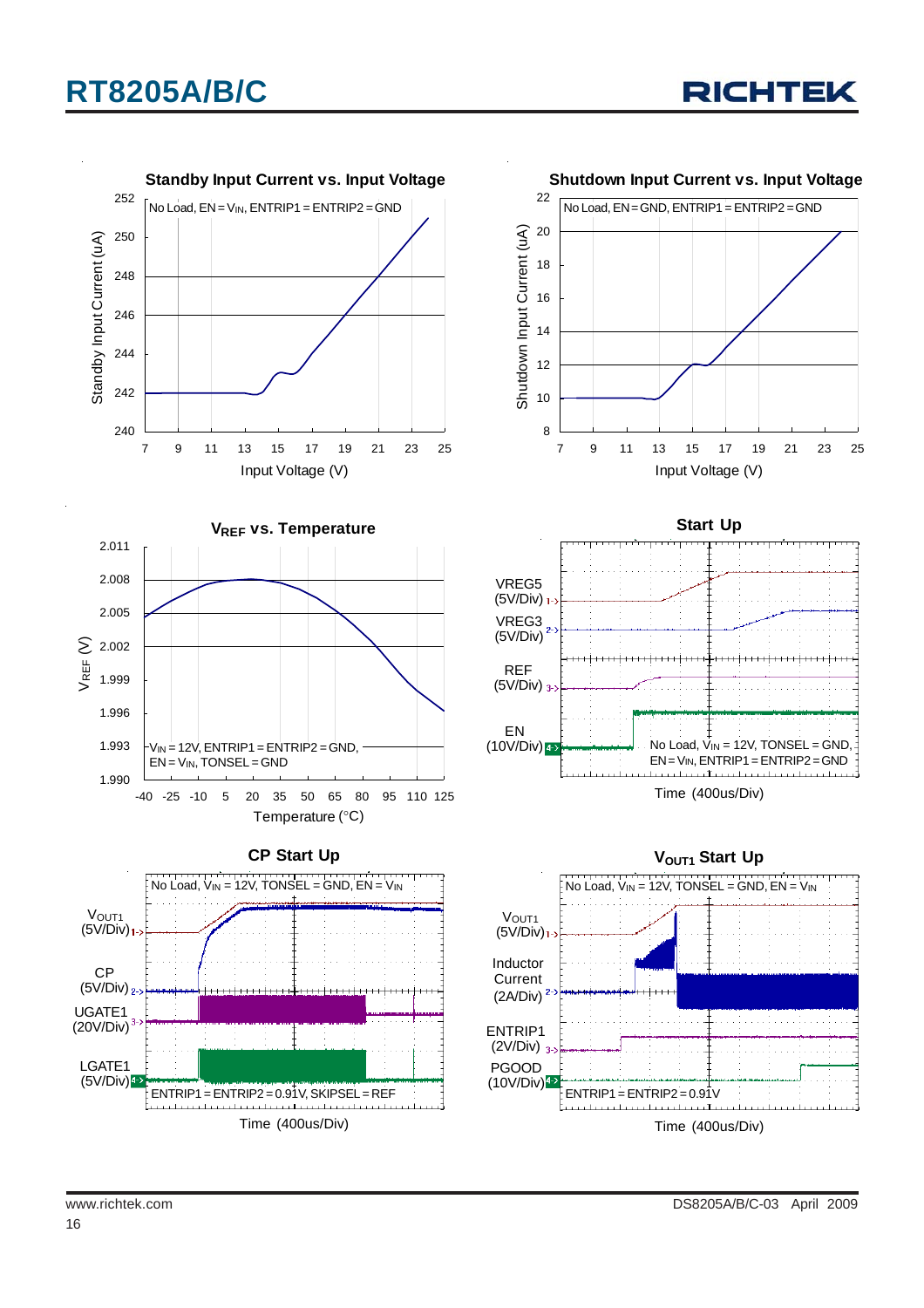

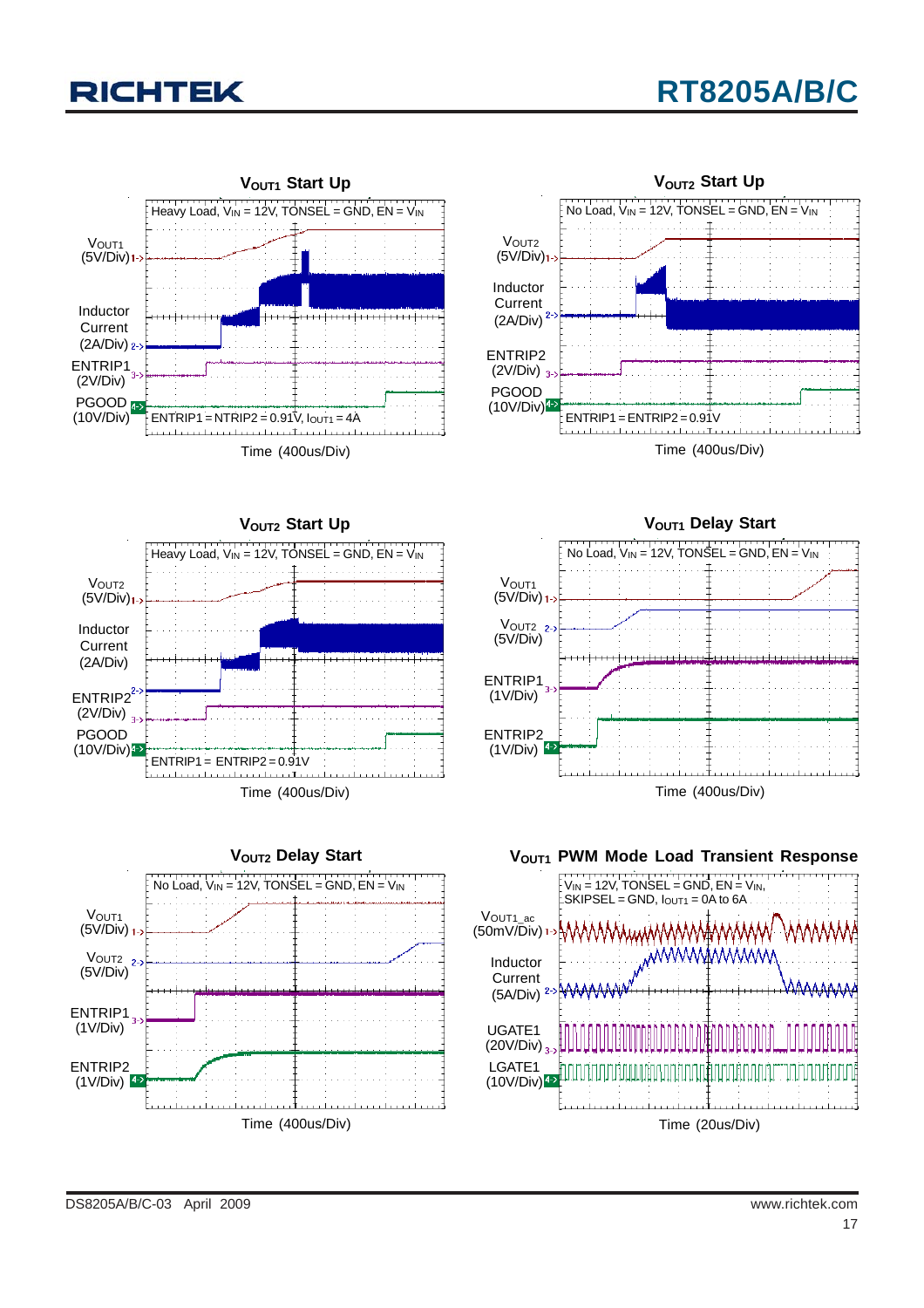## **RT8205A/B/C**











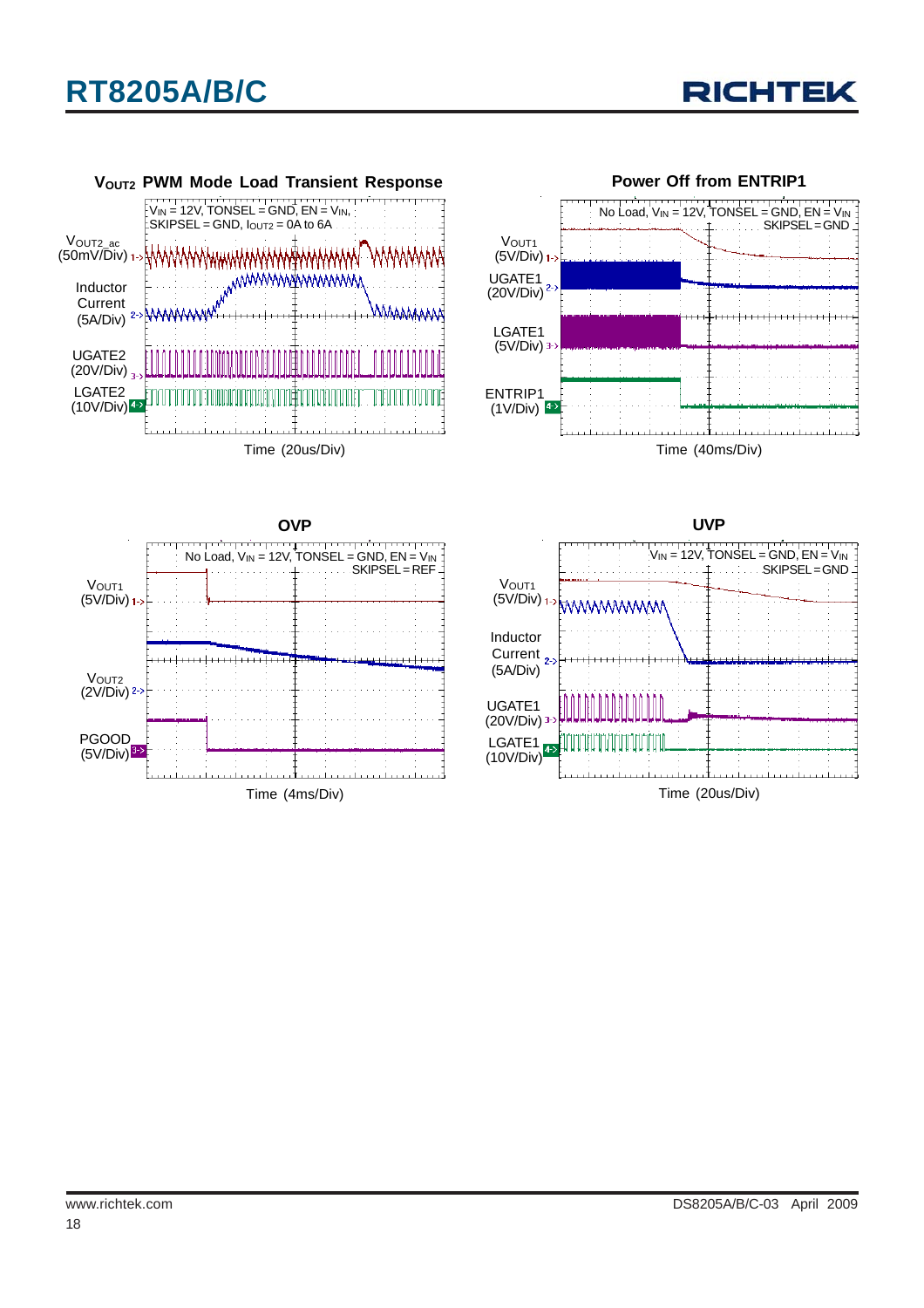







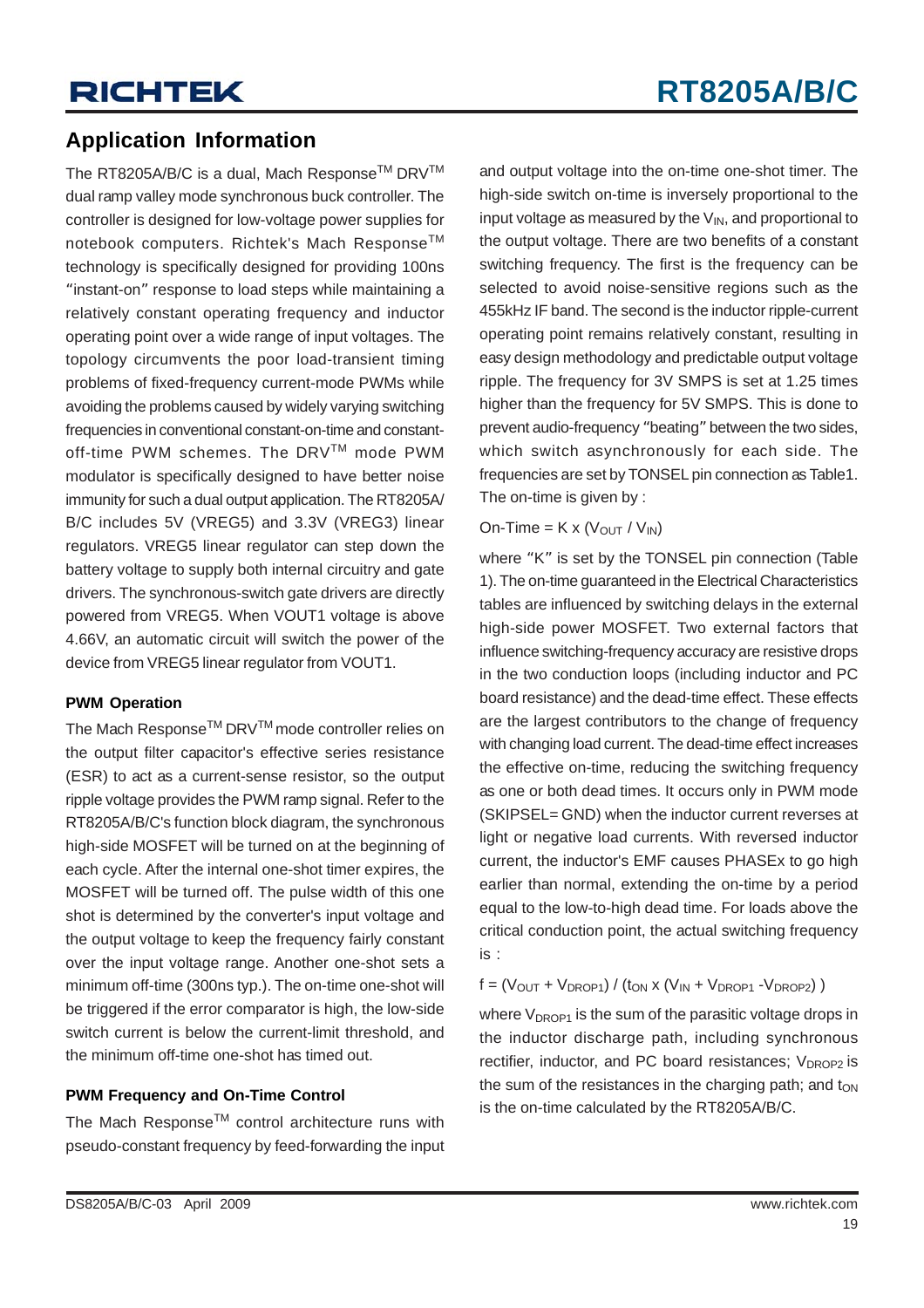### **Application Information**

The RT8205A/B/C is a dual, Mach Response™ DRV™ dual ramp valley mode synchronous buck controller. The controller is designed for low-voltage power supplies for notebook computers. Richtek's Mach Response™ technology is specifically designed for providing 100ns "instant-on" response to load steps while maintaining a relatively constant operating frequency and inductor operating point over a wide range of input voltages. The topology circumvents the poor load-transient timing problems of fixed-frequency current-mode PWMs while avoiding the problems caused by widely varying switching frequencies in conventional constant-on-time and constantoff-time PWM schemes. The DRVTM mode PWM modulator is specifically designed to have better noise immunity for such a dual output application. The RT8205A/ B/C includes 5V (VREG5) and 3.3V (VREG3) linear regulators. VREG5 linear regulator can step down the battery voltage to supply both internal circuitry and gate drivers. The synchronous-switch gate drivers are directly powered from VREG5. When VOUT1 voltage is above 4.66V, an automatic circuit will switch the power of the device from VREG5 linear regulator from VOUT1.

#### **PWM Operation**

The Mach Response<sup>™</sup> DRV<sup>™</sup> mode controller relies on the output filter capacitor's effective series resistance (ESR) to act as a current-sense resistor, so the output ripple voltage provides the PWM ramp signal. Refer to the RT8205A/B/C's function block diagram, the synchronous high-side MOSFET will be turned on at the beginning of each cycle. After the internal one-shot timer expires, the MOSFET will be turned off. The pulse width of this one shot is determined by the converter's input voltage and the output voltage to keep the frequency fairly constant over the input voltage range. Another one-shot sets a minimum off-time (300ns typ.). The on-time one-shot will be triggered if the error comparator is high, the low-side switch current is below the current-limit threshold, and the minimum off-time one-shot has timed out.

#### **PWM Frequency and On-Time Control**

The Mach Response™ control architecture runs with pseudo-constant frequency by feed-forwarding the input and output voltage into the on-time one-shot timer. The high-side switch on-time is inversely proportional to the input voltage as measured by the  $V_{IN}$ , and proportional to the output voltage. There are two benefits of a constant switching frequency. The first is the frequency can be selected to avoid noise-sensitive regions such as the 455kHz IF band. The second is the inductor ripple-current operating point remains relatively constant, resulting in easy design methodology and predictable output voltage ripple. The frequency for 3V SMPS is set at 1.25 times higher than the frequency for 5V SMPS. This is done to prevent audio-frequency "beating" between the two sides, which switch asynchronously for each side. The frequencies are set by TONSEL pin connection as Table1. The on-time is given by :

#### On-Time =  $K \times (V_{OUT} / V_{IN})$

where "K" is set by the TONSEL pin connection (Table 1). The on-time guaranteed in the Electrical Characteristics tables are influenced by switching delays in the external high-side power MOSFET. Two external factors that influence switching-frequency accuracy are resistive drops in the two conduction loops (including inductor and PC board resistance) and the dead-time effect. These effects are the largest contributors to the change of frequency with changing load current. The dead-time effect increases the effective on-time, reducing the switching frequency as one or both dead times. It occurs only in PWM mode (SKIPSEL= GND) when the inductor current reverses at light or negative load currents. With reversed inductor current, the inductor's EMF causes PHASEx to go high earlier than normal, extending the on-time by a period equal to the low-to-high dead time. For loads above the critical conduction point, the actual switching frequency is :

 $f = (V_{OUT} + V_{DROP1}) / (t_{ON} \times (V_{IN} + V_{DROP1} - V_{DROP2}))$ 

where  $V_{DROP1}$  is the sum of the parasitic voltage drops in the inductor discharge path, including synchronous rectifier, inductor, and PC board resistances; V<sub>DROP2</sub> is the sum of the resistances in the charging path; and  $t_{ON}$ is the on-time calculated by the RT8205A/B/C.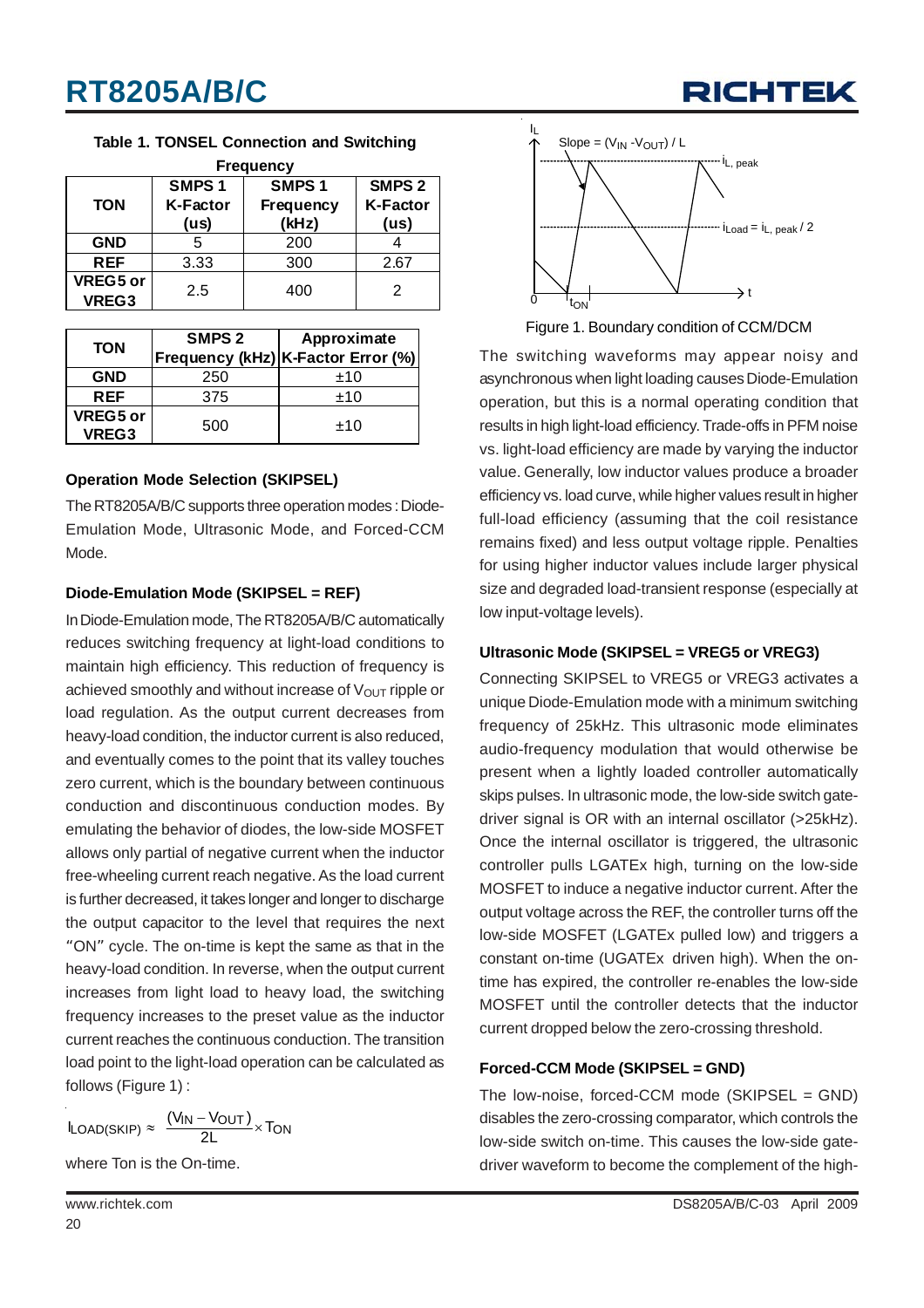

**Table 1. TONSEL Connection and Switching**

| <b>Frequency</b>         |                                              |                                                |                                              |  |  |  |  |
|--------------------------|----------------------------------------------|------------------------------------------------|----------------------------------------------|--|--|--|--|
| <b>TON</b>               | SMPS <sub>1</sub><br><b>K-Factor</b><br>(us) | SMPS <sub>1</sub><br><b>Frequency</b><br>(kHz) | SMPS <sub>2</sub><br><b>K-Factor</b><br>(us) |  |  |  |  |
| <b>GND</b>               | 5                                            | 200                                            |                                              |  |  |  |  |
| <b>REF</b>               | 3.33                                         | 300                                            | 2.67                                         |  |  |  |  |
| VREG5 or<br><b>VREG3</b> | 2.5                                          | 400                                            | 2                                            |  |  |  |  |

| <b>TON</b>        | SMPS <sub>2</sub> | Approximate                        |
|-------------------|-------------------|------------------------------------|
|                   |                   | Frequency (kHz) K-Factor Error (%) |
| <b>GND</b>        | 250               | ±10                                |
| <b>REF</b>        | 375               | ±10                                |
| VREG5 or<br>VREG3 | 500               | ±10                                |

#### **Operation Mode Selection (SKIPSEL)**

The RT8205A/B/C supports three operation modes : Diode-Emulation Mode, Ultrasonic Mode, and Forced-CCM Mode.

#### **Diode-Emulation Mode (SKIPSEL = REF)**

In Diode-Emulation mode, The RT8205A/B/C automatically reduces switching frequency at light-load conditions to maintain high efficiency. This reduction of frequency is achieved smoothly and without increase of  $V_{\text{OUT}}$  ripple or load regulation. As the output current decreases from heavy-load condition, the inductor current is also reduced, and eventually comes to the point that its valley touches zero current, which is the boundary between continuous conduction and discontinuous conduction modes. By emulating the behavior of diodes, the low-side MOSFET allows only partial of negative current when the inductor free-wheeling current reach negative. As the load current is further decreased, it takes longer and longer to discharge the output capacitor to the level that requires the next "ON" cycle. The on-time is kept the same as that in the heavy-load condition. In reverse, when the output current increases from light load to heavy load, the switching frequency increases to the preset value as the inductor current reaches the continuous conduction. The transition load point to the light-load operation can be calculated as follows (Figure 1) :

$$
I_{LOAD(SKIP)} \approx \ \frac{(V_{IN}-V_{OUT})}{2L} \times T_{ON}
$$

where Ton is the On-time.



Figure 1. Boundary condition of CCM/DCM

The switching waveforms may appear noisy and asynchronous when light loading causes Diode-Emulation operation, but this is a normal operating condition that results in high light-load efficiency. Trade-offs in PFM noise vs. light-load efficiency are made by varying the inductor value. Generally, low inductor values produce a broader efficiency vs. load curve, while higher values result in higher full-load efficiency (assuming that the coil resistance remains fixed) and less output voltage ripple. Penalties for using higher inductor values include larger physical size and degraded load-transient response (especially at low input-voltage levels).

#### **Ultrasonic Mode (SKIPSEL = VREG5 or VREG3)**

Connecting SKIPSEL to VREG5 or VREG3 activates a unique Diode-Emulation mode with a minimum switching frequency of 25kHz. This ultrasonic mode eliminates audio-frequency modulation that would otherwise be present when a lightly loaded controller automatically skips pulses. In ultrasonic mode, the low-side switch gatedriver signal is OR with an internal oscillator (>25kHz). Once the internal oscillator is triggered, the ultrasonic controller pulls LGATEx high, turning on the low-side MOSFET to induce a negative inductor current. After the output voltage across the REF, the controller turns off the low-side MOSFET (LGATEx pulled low) and triggers a constant on-time (UGATEx driven high). When the ontime has expired, the controller re-enables the low-side MOSFET until the controller detects that the inductor current dropped below the zero-crossing threshold.

#### **Forced-CCM Mode (SKIPSEL = GND)**

The low-noise, forced-CCM mode (SKIPSEL = GND) disables the zero-crossing comparator, which controls the low-side switch on-time. This causes the low-side gatedriver waveform to become the complement of the high-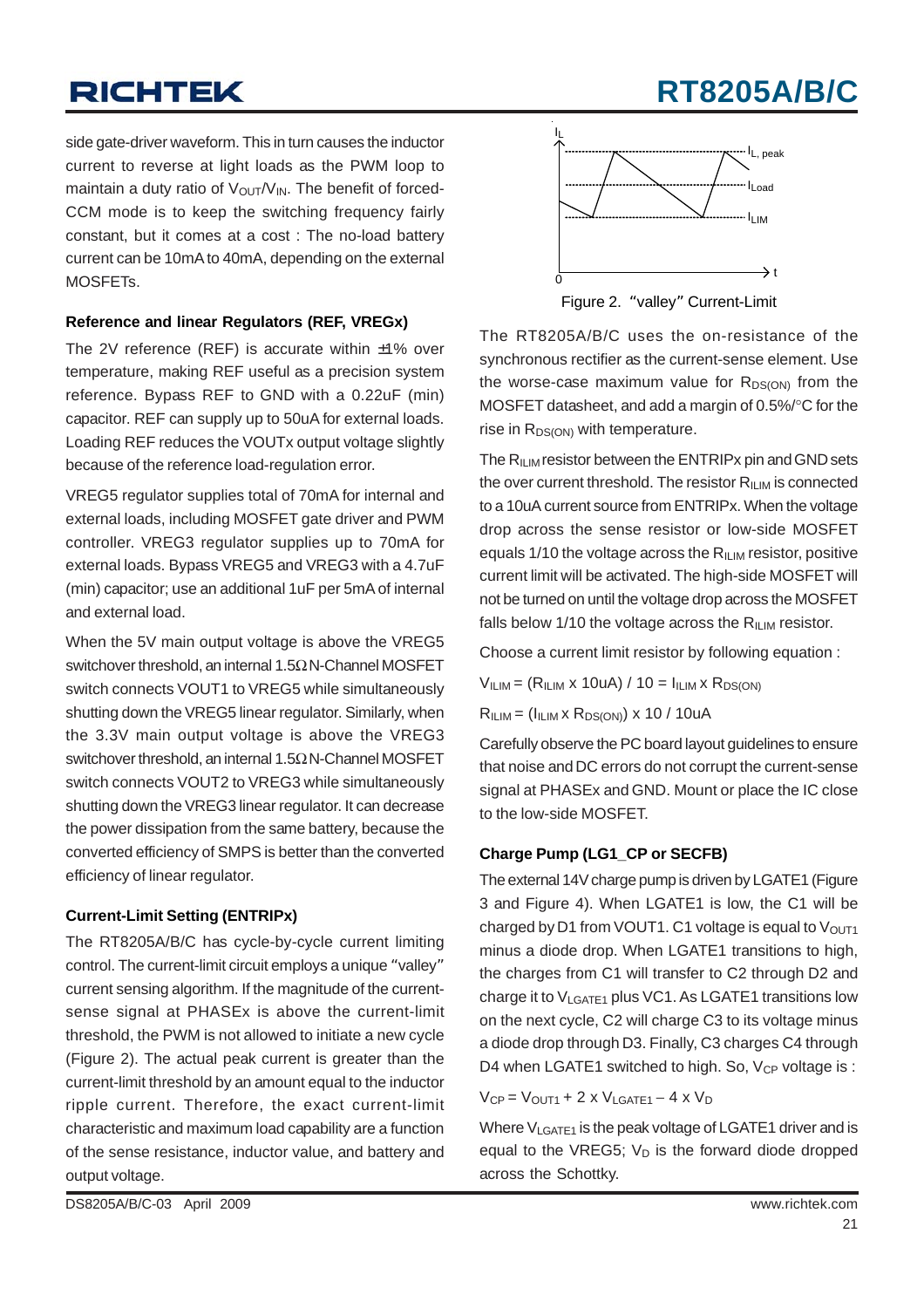## **RT8205A/B/C**

side gate-driver waveform. This in turn causes the inductor current to reverse at light loads as the PWM loop to maintain a duty ratio of  $V_{\text{OUT}}/V_{\text{IN}}$ . The benefit of forced-CCM mode is to keep the switching frequency fairly constant, but it comes at a cost : The no-load battery current can be 10mA to 40mA, depending on the external MOSFETs.

#### **Reference and linear Regulators (REF, VREGx)**

The 2V reference (REF) is accurate within  $±1\%$  over temperature, making REF useful as a precision system reference. Bypass REF to GND with a 0.22uF (min) capacitor. REF can supply up to 50uA for external loads. Loading REF reduces the VOUTx output voltage slightly because of the reference load-regulation error.

VREG5 regulator supplies total of 70mA for internal and external loads, including MOSFET gate driver and PWM controller. VREG3 regulator supplies up to 70mA for external loads. Bypass VREG5 and VREG3 with a 4.7uF (min) capacitor; use an additional 1uF per 5mA of internal and external load.

When the 5V main output voltage is above the VREG5 switchover threshold, an internal 1.5Ω N-Channel MOSFET switch connects VOUT1 to VREG5 while simultaneously shutting down the VREG5 linear regulator. Similarly, when the 3.3V main output voltage is above the VREG3 switchover threshold, an internal 1.5Ω N-Channel MOSFET switch connects VOUT2 to VREG3 while simultaneously shutting down the VREG3 linear regulator. It can decrease the power dissipation from the same battery, because the converted efficiency of SMPS is better than the converted efficiency of linear regulator.

#### **Current-Limit Setting (ENTRIPx)**

The RT8205A/B/C has cycle-by-cycle current limiting control. The current-limit circuit employs a unique "valley" current sensing algorithm. If the magnitude of the currentsense signal at PHASEx is above the current-limit threshold, the PWM is not allowed to initiate a new cycle (Figure 2). The actual peak current is greater than the current-limit threshold by an amount equal to the inductor ripple current. Therefore, the exact current-limit characteristic and maximum load capability are a function of the sense resistance, inductor value, and battery and output voltage.



Figure 2. "valley" Current-Limit

The RT8205A/B/C uses the on-resistance of the synchronous rectifier as the current-sense element. Use the worse-case maximum value for  $R_{DS(ON)}$  from the MOSFET datasheet, and add a margin of 0.5%/°C for the rise in  $R_{DS(ON)}$  with temperature.

The  $R_{ILM}$  resistor between the ENTRIPx pin and GND sets the over current threshold. The resistor  $R_{ILM}$  is connected to a 10uA current source from ENTRIPx. When the voltage drop across the sense resistor or low-side MOSFET equals 1/10 the voltage across the  $R_{ILM}$  resistor, positive current limit will be activated. The high-side MOSFET will not be turned on until the voltage drop across the MOSFET falls below 1/10 the voltage across the  $R_{\text{II IM}}$  resistor.

Choose a current limit resistor by following equation :

 $V<sub>ILIM</sub> = (R<sub>ILIM</sub> x 10uA) / 10 = I<sub>ILIM</sub> x R<sub>DS(ON)</sub>$ 

 $R<sub>ILIM</sub> = (I<sub>ILIM</sub> × R<sub>DS(ON</sub>) × 10 / 10uA)$ 

Carefully observe the PC board layout guidelines to ensure that noise and DC errors do not corrupt the current-sense signal at PHASEx and GND. Mount or place the IC close to the low-side MOSFET.

#### **Charge Pump (LG1\_CP or SECFB)**

The external 14V charge pump is driven by LGATE1 (Figure 3 and Figure 4). When LGATE1 is low, the C1 will be charged by D1 from VOUT1. C1 voltage is equal to  $V<sub>OUT1</sub>$ minus a diode drop. When LGATE1 transitions to high, the charges from C1 will transfer to C2 through D2 and charge it to  $V_{LGATE1}$  plus VC1. As LGATE1 transitions low on the next cycle, C2 will charge C3 to its voltage minus a diode drop through D3. Finally, C3 charges C4 through D4 when LGATE1 switched to high. So,  $V_{CP}$  voltage is :

 $V_{CP} = V_{OUT1} + 2 \times V_{LGATE1} - 4 \times V_D$ 

Where V<sub>LGATE1</sub> is the peak voltage of LGATE1 driver and is equal to the VREG5;  $V_D$  is the forward diode dropped across the Schottky.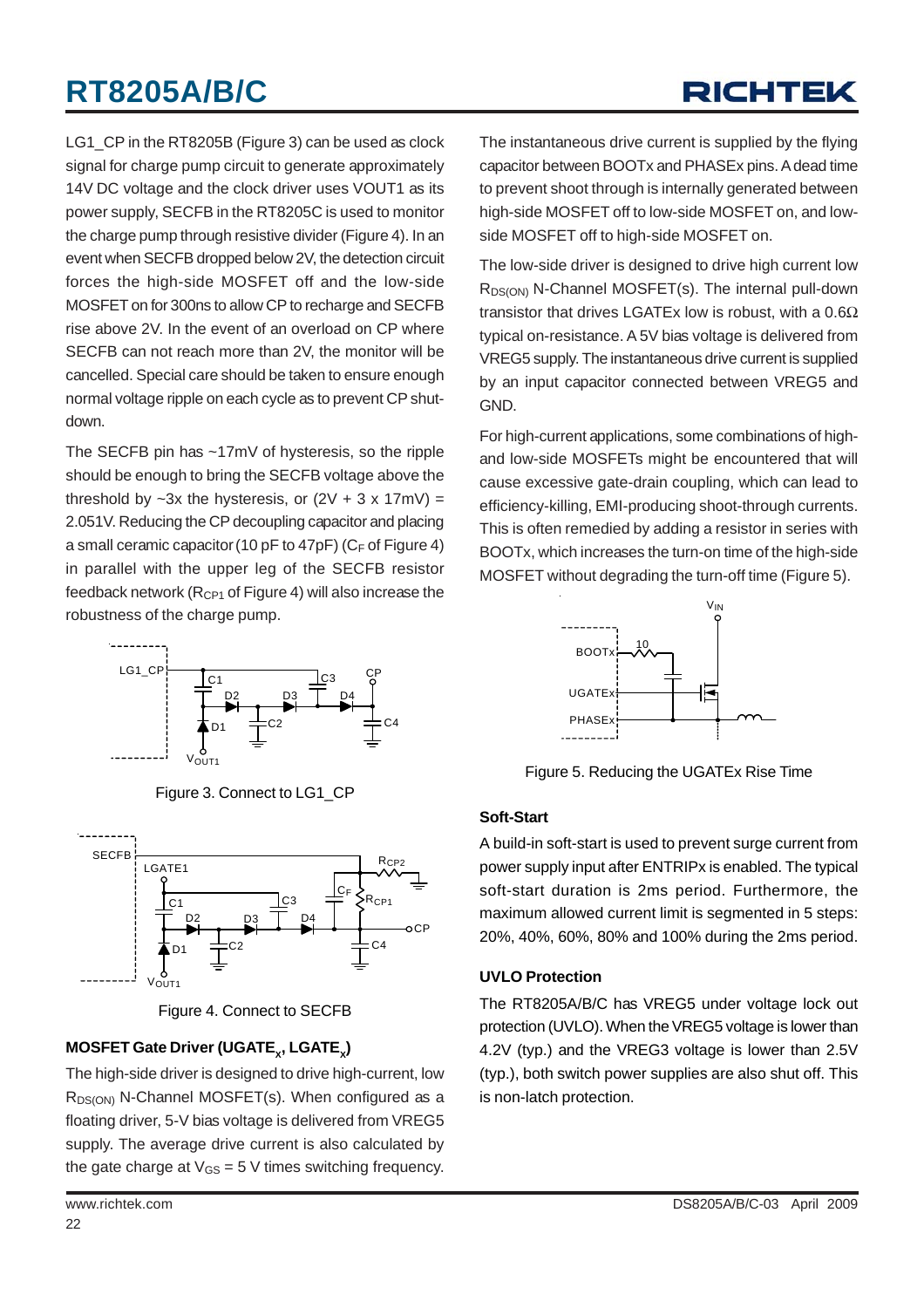## RICHTEK

LG1\_CP in the RT8205B (Figure 3) can be used as clock signal for charge pump circuit to generate approximately 14V DC voltage and the clock driver uses VOUT1 as its power supply, SECFB in the RT8205C is used to monitor the charge pump through resistive divider (Figure 4). In an event when SECFB dropped below 2V, the detection circuit forces the high-side MOSFET off and the low-side MOSFET on for 300ns to allow CP to recharge and SECFB rise above 2V. In the event of an overload on CP where SECFB can not reach more than 2V, the monitor will be cancelled. Special care should be taken to ensure enough normal voltage ripple on each cycle as to prevent CP shutdown.

The SECFB pin has ~17mV of hysteresis, so the ripple should be enough to bring the SECFB voltage above the threshold by  $-3x$  the hysteresis, or  $(2V + 3 x 17mV) =$ 2.051V. Reducing the CP decoupling capacitor and placing a small ceramic capacitor (10 pF to 47pF) ( $C_F$  of Figure 4) in parallel with the upper leg of the SECFB resistor feedback network ( $R_{CP1}$  of Figure 4) will also increase the robustness of the charge pump.



Figure 3. Connect to LG1\_CP



Figure 4. Connect to SECFB

#### **MOSFET Gate Driver (UGATE<sub>y</sub>, LGATE<sub>y</sub>)**

The high-side driver is designed to drive high-current, low  $R_{DS(ON)}$  N-Channel MOSFET(s). When configured as a floating driver, 5-V bias voltage is delivered from VREG5 supply. The average drive current is also calculated by the gate charge at  $V_{GS} = 5$  V times switching frequency.

The instantaneous drive current is supplied by the flying capacitor between BOOTx and PHASEx pins. A dead time to prevent shoot through is internally generated between high-side MOSFET off to low-side MOSFET on, and lowside MOSFET off to high-side MOSFET on.

The low-side driver is designed to drive high current low R<sub>DS(ON)</sub> N-Channel MOSFET(s). The internal pull-down transistor that drives LGATEx low is robust, with a  $0.6\Omega$ typical on-resistance. A 5V bias voltage is delivered from VREG5 supply. The instantaneous drive current is supplied by an input capacitor connected between VREG5 and GND.

For high-current applications, some combinations of highand low-side MOSFETs might be encountered that will cause excessive gate-drain coupling, which can lead to efficiency-killing, EMI-producing shoot-through currents. This is often remedied by adding a resistor in series with BOOTx, which increases the turn-on time of the high-side MOSFET without degrading the turn-off time (Figure 5).



Figure 5. Reducing the UGATEx Rise Time

#### **Soft-Start**

A build-in soft-start is used to prevent surge current from power supply input after ENTRIPx is enabled. The typical soft-start duration is 2ms period. Furthermore, the maximum allowed current limit is segmented in 5 steps: 20%, 40%, 60%, 80% and 100% during the 2ms period.

#### **UVLO Protection**

The RT8205A/B/C has VREG5 under voltage lock out protection (UVLO). When the VREG5 voltage is lower than 4.2V (typ.) and the VREG3 voltage is lower than 2.5V (typ.), both switch power supplies are also shut off. This is non-latch protection.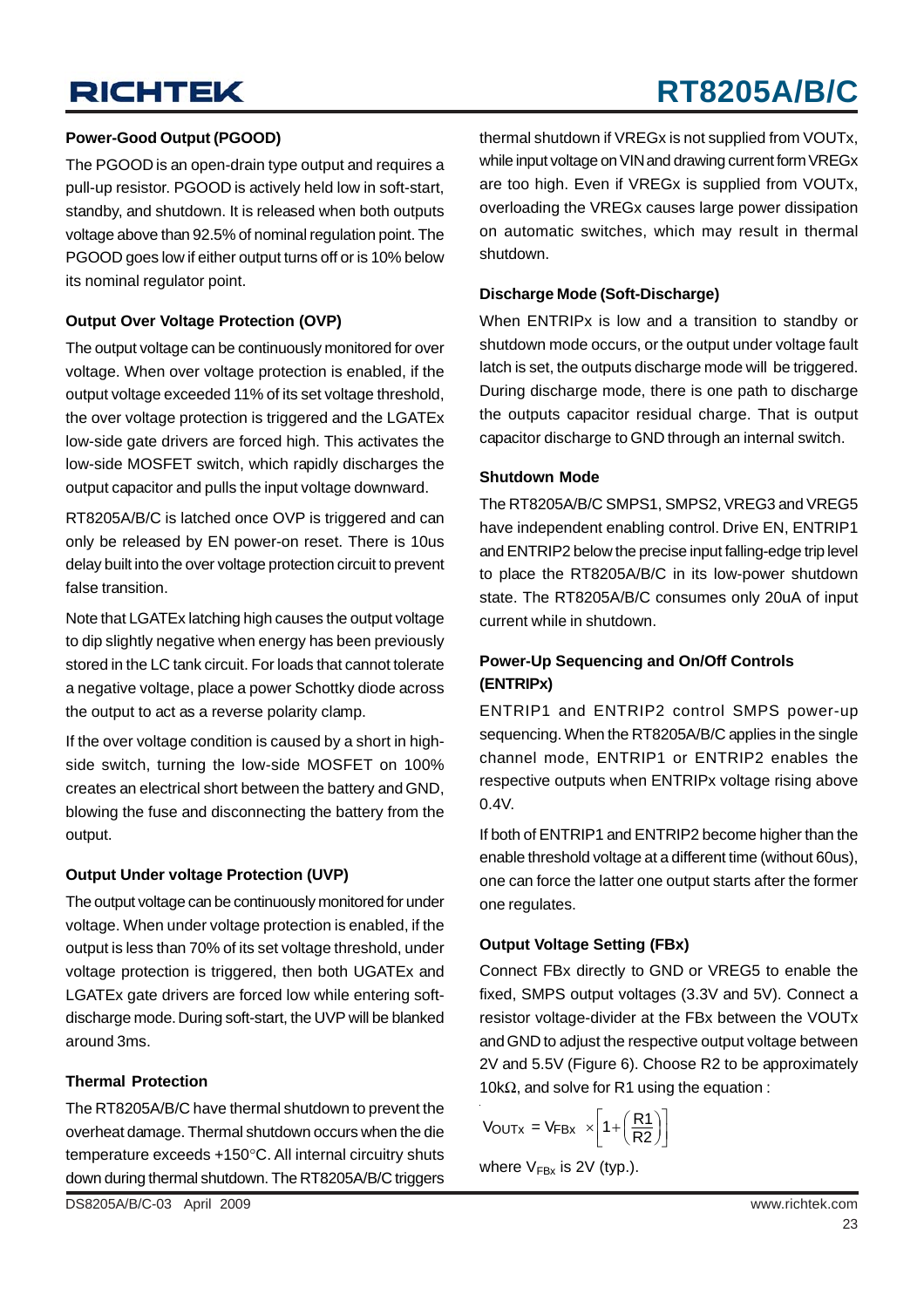# **RT8205A/B/C**

#### **Power-Good Output (PGOOD)**

The PGOOD is an open-drain type output and requires a pull-up resistor. PGOOD is actively held low in soft-start, standby, and shutdown. It is released when both outputs voltage above than 92.5% of nominal regulation point. The PGOOD goes low if either output turns off or is 10% below its nominal regulator point.

#### **Output Over Voltage Protection (OVP)**

The output voltage can be continuously monitored for over voltage. When over voltage protection is enabled, if the output voltage exceeded 11% of its set voltage threshold, the over voltage protection is triggered and the LGATEx low-side gate drivers are forced high. This activates the low-side MOSFET switch, which rapidly discharges the output capacitor and pulls the input voltage downward.

RT8205A/B/C is latched once OVP is triggered and can only be released by EN power-on reset. There is 10us delay built into the over voltage protection circuit to prevent false transition.

Note that LGATEx latching high causes the output voltage to dip slightly negative when energy has been previously stored in the LC tank circuit. For loads that cannot tolerate a negative voltage, place a power Schottky diode across the output to act as a reverse polarity clamp.

If the over voltage condition is caused by a short in highside switch, turning the low-side MOSFET on 100% creates an electrical short between the battery and GND, blowing the fuse and disconnecting the battery from the output.

#### **Output Under voltage Protection (UVP)**

The output voltage can be continuously monitored for under voltage. When under voltage protection is enabled, if the output is less than 70% of its set voltage threshold, under voltage protection is triggered, then both UGATEx and LGATEx gate drivers are forced low while entering softdischarge mode. During soft-start, the UVP will be blanked around 3ms.

#### **Thermal Protection**

The RT8205A/B/C have thermal shutdown to prevent the overheat damage. Thermal shutdown occurs when the die temperature exceeds +150°C. All internal circuitry shuts down during thermal shutdown. The RT8205A/B/C triggers

thermal shutdown if VREGx is not supplied from VOUTx, while input voltage on VIN and drawing current form VREGx are too high. Even if VREGx is supplied from VOUTx, overloading the VREGx causes large power dissipation on automatic switches, which may result in thermal shutdown.

#### **Discharge Mode (Soft-Discharge)**

When ENTRIPx is low and a transition to standby or shutdown mode occurs, or the output under voltage fault latch is set, the outputs discharge mode will be triggered. During discharge mode, there is one path to discharge the outputs capacitor residual charge. That is output capacitor discharge to GND through an internal switch.

#### **Shutdown Mode**

The RT8205A/B/C SMPS1, SMPS2, VREG3 and VREG5 have independent enabling control. Drive EN, ENTRIP1 and ENTRIP2 below the precise input falling-edge trip level to place the RT8205A/B/C in its low-power shutdown state. The RT8205A/B/C consumes only 20uA of input current while in shutdown.

#### **Power-Up Sequencing and On/Off Controls (ENTRIPx)**

ENTRIP1 and ENTRIP2 control SMPS power-up sequencing. When the RT8205A/B/C applies in the single channel mode, ENTRIP1 or ENTRIP2 enables the respective outputs when ENTRIPx voltage rising above 0.4V.

If both of ENTRIP1 and ENTRIP2 become higher than the enable threshold voltage at a different time (without 60us), one can force the latter one output starts after the former one regulates.

#### **Output Voltage Setting (FBx)**

Connect FBx directly to GND or VREG5 to enable the fixed, SMPS output voltages (3.3V and 5V). Connect a resistor voltage-divider at the FBx between the VOUTx and GND to adjust the respective output voltage between 2V and 5.5V (Figure 6). Choose R2 to be approximately 10kΩ, and solve for R1 using the equation :

$$
V_{\text{OUTX}} = V_{\text{FBX}} \times \left[1 + \left(\frac{R1}{R2}\right)\right]
$$

where  $V_{Fbx}$  is 2V (typ.).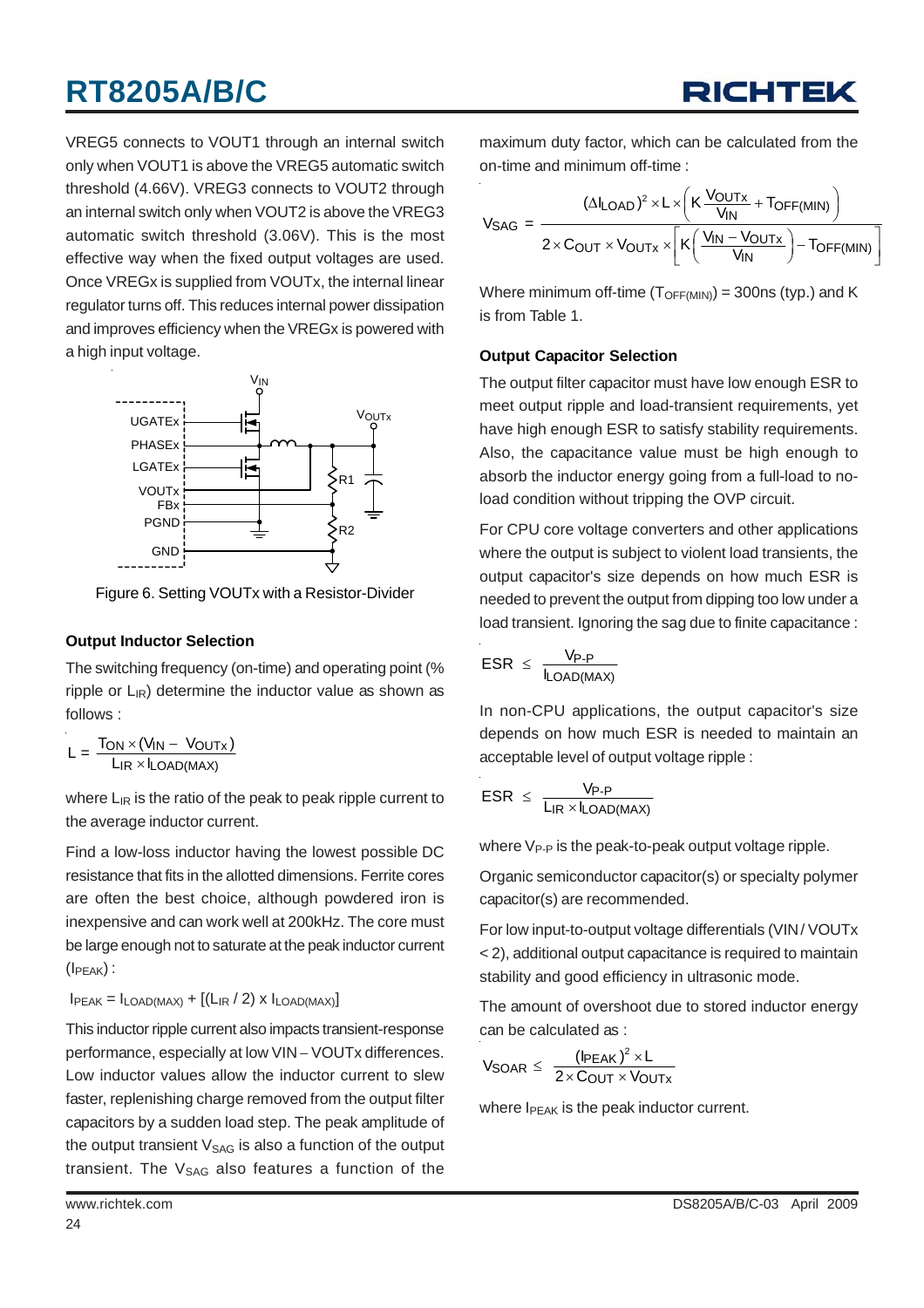VREG5 connects to VOUT1 through an internal switch only when VOUT1 is above the VREG5 automatic switch threshold (4.66V). VREG3 connects to VOUT2 through an internal switch only when VOUT2 is above the VREG3 automatic switch threshold (3.06V). This is the most effective way when the fixed output voltages are used. Once VREGx is supplied from VOUTx, the internal linear regulator turns off. This reduces internal power dissipation and improves efficiency when the VREGx is powered with a high input voltage.



Figure 6. Setting VOUTx with a Resistor-Divider

#### **Output Inductor Selection**

The switching frequency (on-time) and operating point (% ripple or  $L_{IR}$ ) determine the inductor value as shown as follows :

$$
L = \frac{T_{ON} \times (V_{IN} - V_{OUTx})}{L_{IR} \times I_{LOAD(MAX)}}
$$

where  $L_{IR}$  is the ratio of the peak to peak ripple current to the average inductor current.

Find a low-loss inductor having the lowest possible DC resistance that fits in the allotted dimensions. Ferrite cores are often the best choice, although powdered iron is inexpensive and can work well at 200kHz. The core must be large enough not to saturate at the peak inductor current  $(I_{\text{PFAK}})$ :

 $I_{PEAK} = I_{LOAD(MAX)} + [(L_{IR}/2) \times I_{LOAD(MAX)}]$ 

This inductor ripple current also impacts transient-response performance, especially at low VIN – VOUTx differences. Low inductor values allow the inductor current to slew faster, replenishing charge removed from the output filter capacitors by a sudden load step. The peak amplitude of the output transient  $V_{SAG}$  is also a function of the output transient. The  $V_{SAG}$  also features a function of the

maximum duty factor, which can be calculated from the on-time and minimum off-time :

$$
V_{SAG} = \frac{(\Delta I_{LOAD})^2 \times L \times \left(K \frac{V_{OUTX}}{V_{IN}} + T_{OFF(MIN)}\right)}{2 \times C_{OUT} \times V_{OUTX} \times \left[K \left(\frac{V_{IN} - V_{OUTX}}{V_{IN}}\right) - T_{OFF(MIN)}\right]}
$$

Where minimum off-time  $(T_{\text{OFF(MIN)}}) = 300 \text{ns}$  (typ.) and K is from Table 1.

#### **Output Capacitor Selection**

The output filter capacitor must have low enough ESR to meet output ripple and load-transient requirements, yet have high enough ESR to satisfy stability requirements. Also, the capacitance value must be high enough to absorb the inductor energy going from a full-load to noload condition without tripping the OVP circuit.

For CPU core voltage converters and other applications where the output is subject to violent load transients, the output capacitor's size depends on how much ESR is needed to prevent the output from dipping too low under a load transient. Ignoring the sag due to finite capacitance:

$$
ESR \leq \frac{V_{P-P}}{I_{LOAD(MAX)}}
$$

In non-CPU applications, the output capacitor's size depends on how much ESR is needed to maintain an acceptable level of output voltage ripple :

$$
ESR \ \leq \ \frac{V_{P\text{-}P}}{L_{IR} \times I_{LOAD(MAX)}}
$$

where  $V_{P-P}$  is the peak-to-peak output voltage ripple.

Organic semiconductor capacitor(s) or specialty polymer capacitor(s) are recommended.

For low input-to-output voltage differentials (VIN/ VOUTx < 2), additional output capacitance is required to maintain stability and good efficiency in ultrasonic mode.

The amount of overshoot due to stored inductor energy can be calculated as :

$$
V_{SOAR} \leq \frac{(I_{PEAK})^2 \times L}{2 \times C_{OUT} \times V_{OUTX}}
$$

where I<sub>PEAK</sub> is the peak inductor current.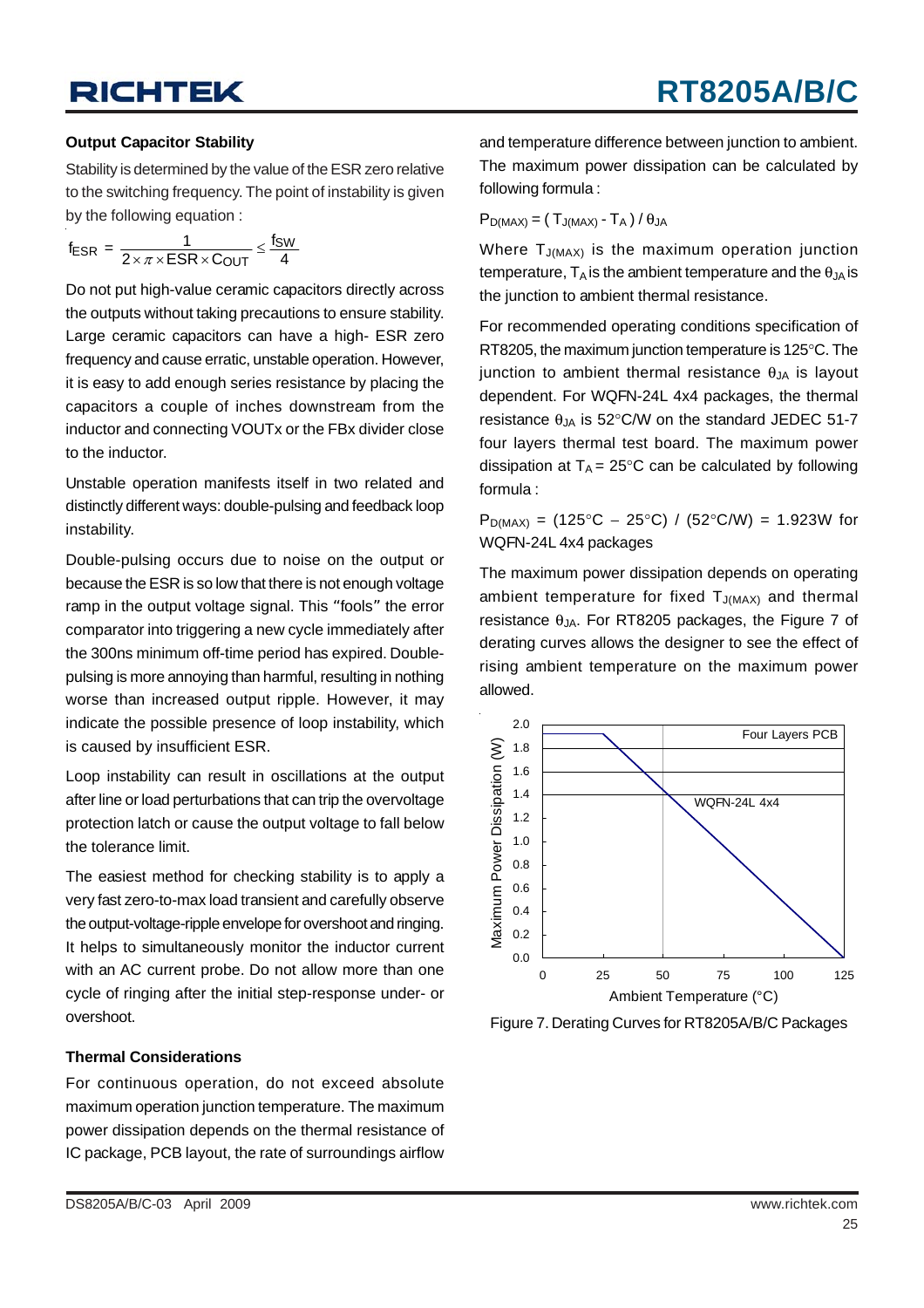#### **Output Capacitor Stability**

Stability is determined by the value of the ESR zero relative to the switching frequency. The point of instability is given by the following equation :

$$
f_{ESR} = \frac{1}{2 \times \pi \times ESR \times C_{OUT}} \leq \frac{f_{SW}}{4}
$$

Do not put high-value ceramic capacitors directly across the outputs without taking precautions to ensure stability. Large ceramic capacitors can have a high- ESR zero frequency and cause erratic, unstable operation. However, it is easy to add enough series resistance by placing the capacitors a couple of inches downstream from the inductor and connecting VOUTx or the FBx divider close to the inductor.

Unstable operation manifests itself in two related and distinctly different ways: double-pulsing and feedback loop instability.

Double-pulsing occurs due to noise on the output or because the ESR is so low that there is not enough voltage ramp in the output voltage signal. This "fools" the error comparator into triggering a new cycle immediately after the 300ns minimum off-time period has expired. Doublepulsing is more annoying than harmful, resulting in nothing worse than increased output ripple. However, it may indicate the possible presence of loop instability, which is caused by insufficient ESR.

Loop instability can result in oscillations at the output after line or load perturbations that can trip the overvoltage protection latch or cause the output voltage to fall below the tolerance limit.

The easiest method for checking stability is to apply a very fast zero-to-max load transient and carefully observe the output-voltage-ripple envelope for overshoot and ringing. It helps to simultaneously monitor the inductor current with an AC current probe. Do not allow more than one cycle of ringing after the initial step-response under- or overshoot.

#### **Thermal Considerations**

For continuous operation, do not exceed absolute maximum operation junction temperature. The maximum power dissipation depends on the thermal resistance of IC package, PCB layout, the rate of surroundings airflow and temperature difference between junction to ambient. The maximum power dissipation can be calculated by following formula :

$$
P_{D(MAX)} = (T_{J(MAX)} - T_A) / \theta_{JA}
$$

Where  $T_{J(MAX)}$  is the maximum operation junction temperature,  $T_A$  is the ambient temperature and the  $\theta_A$  is the junction to ambient thermal resistance.

For recommended operating conditions specification of RT8205, the maximum junction temperature is 125°C. The junction to ambient thermal resistance  $θ<sub>JA</sub>$  is layout dependent. For WQFN-24L 4x4 packages, the thermal resistance  $\theta_{JA}$  is 52°C/W on the standard JEDEC 51-7 four layers thermal test board. The maximum power dissipation at  $T_A = 25^{\circ}$ C can be calculated by following formula :

 $P_{D(MAX)} = (125^{\circ}C - 25^{\circ}C) / (52^{\circ}C/W) = 1.923W$  for WQFN-24L 4x4 packages

The maximum power dissipation depends on operating ambient temperature for fixed  $T_{J(MAX)}$  and thermal resistance  $\theta_{JA}$ . For RT8205 packages, the Figure 7 of derating curves allows the designer to see the effect of rising ambient temperature on the maximum power allowed.



Figure 7. Derating Curves for RT8205A/B/C Packages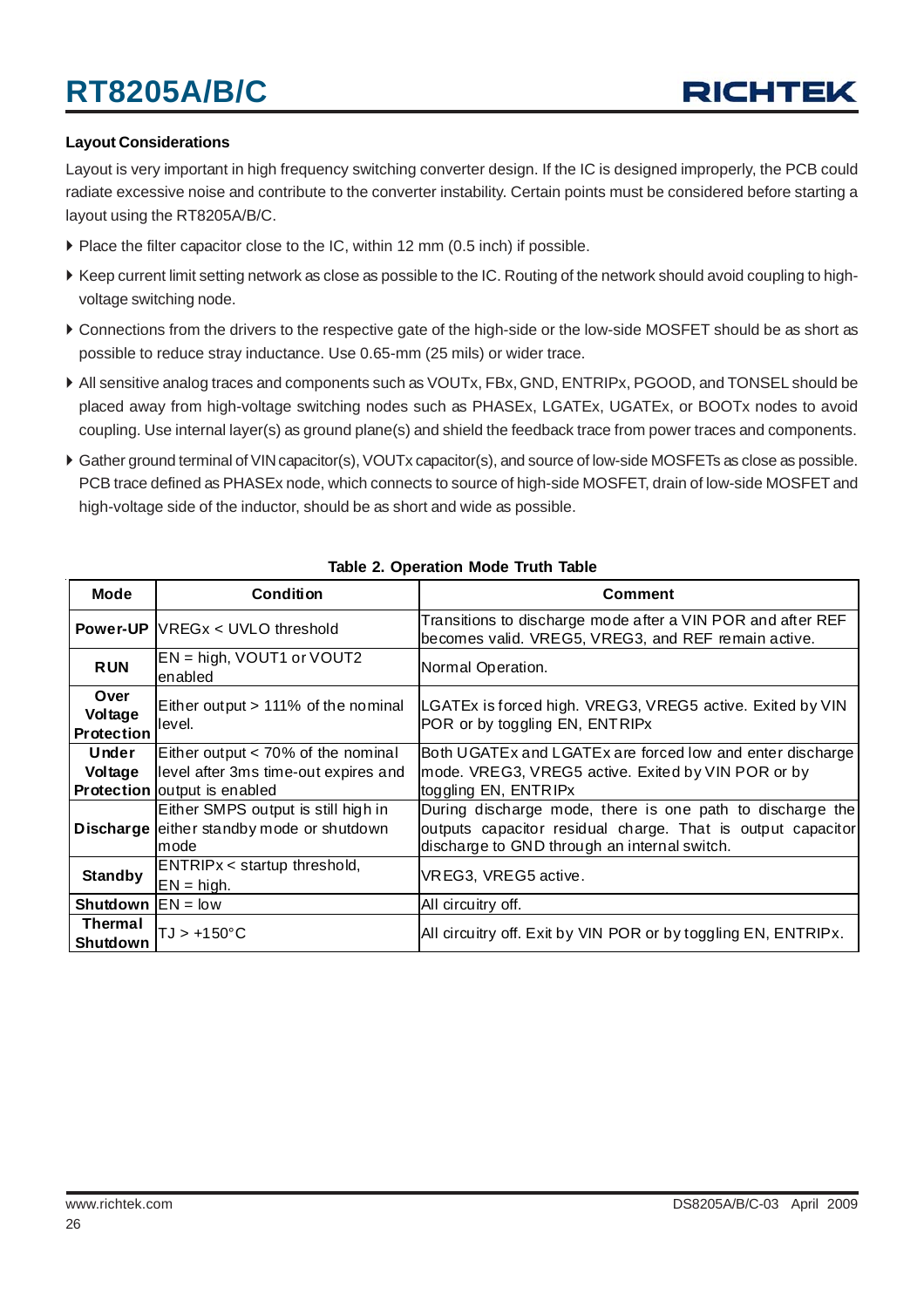#### **Layout Considerations**

Layout is very important in high frequency switching converter design. If the IC is designed improperly, the PCB could radiate excessive noise and contribute to the converter instability. Certain points must be considered before starting a layout using the RT8205A/B/C.

- ` Place the filter capacitor close to the IC, within 12 mm (0.5 inch) if possible.
- ` Keep current limit setting network as close as possible to the IC. Routing of the network should avoid coupling to highvoltage switching node.
- ` Connections from the drivers to the respective gate of the high-side or the low-side MOSFET should be as short as possible to reduce stray inductance. Use 0.65-mm (25 mils) or wider trace.
- ` All sensitive analog traces and components such as VOUTx, FBx, GND, ENTRIPx, PGOOD, and TONSEL should be placed away from high-voltage switching nodes such as PHASEx, LGATEx, UGATEx, or BOOTx nodes to avoid coupling. Use internal layer(s) as ground plane(s) and shield the feedback trace from power traces and components.
- ` Gather ground terminal of VIN capacitor(s), VOUTx capacitor(s), and source of low-side MOSFETs as close as possible. PCB trace defined as PHASEx node, which connects to source of high-side MOSFET, drain of low-side MOSFET and high-voltage side of the inductor, should be as short and wide as possible.

| <b>Mode</b>                          | <b>Condition</b>                                                                                                    | <b>Comment</b>                                                                                                                                                           |
|--------------------------------------|---------------------------------------------------------------------------------------------------------------------|--------------------------------------------------------------------------------------------------------------------------------------------------------------------------|
|                                      | <b>Power-UP VREGx &lt; UVLO threshold</b>                                                                           | Transitions to discharge mode after a VIN POR and after REF<br>becomes valid. VREG5, VREG3, and REF remain active.                                                       |
| <b>RUN</b>                           | $EN = high$ , VOUT1 or VOUT2<br>enabled                                                                             | Normal Operation.                                                                                                                                                        |
| Over<br>Voltage<br><b>Protection</b> | Either output > 111% of the nominal<br>level.                                                                       | LGATEx is forced high. VREG3, VREG5 active. Exited by VIN<br>POR or by toggling EN, ENTRIPx                                                                              |
| Under<br>Voltage                     | Either output $<$ 70% of the nominal<br>level after 3ms time-out expires and<br><b>Protection</b> output is enabled | Both UGATEx and LGATEx are forced low and enter discharge<br>mode. VREG3, VREG5 active. Exited by VIN POR or by<br>toggling EN, ENTRIPx                                  |
| <b>Discharge</b>                     | Either SMPS output is still high in<br>either standby mode or shutdown<br>mode                                      | During discharge mode, there is one path to discharge the<br>outputs capacitor residual charge. That is output capacitor<br>discharge to GND through an internal switch. |
| <b>Standby</b>                       | ENTRIPx < startup threshold,<br>$EN = high.$                                                                        | VREG3, VREG5 active.                                                                                                                                                     |
| <b>Shutdown</b> $EN = low$           |                                                                                                                     | All circuitry off.                                                                                                                                                       |
| <b>Thermal</b><br>Shutdown           | $TJ > +150^{\circ}C$                                                                                                | All circuitry off. Exit by VIN POR or by toggling EN, ENTRIPx.                                                                                                           |

#### **Table 2. Operation Mode Truth Table**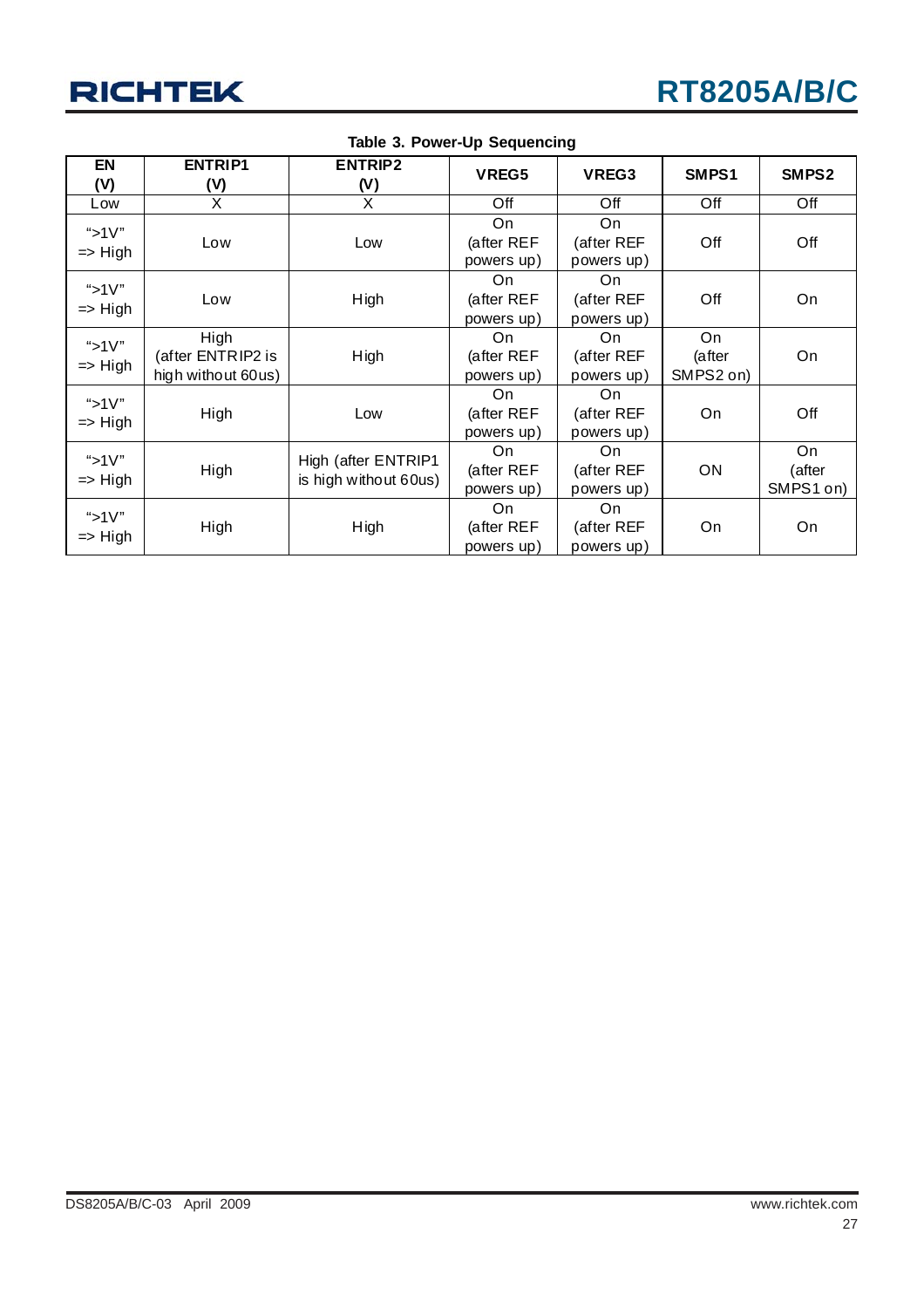

| EN<br>(V)                       | <b>ENTRIP1</b><br>(V)                           | <b>ENTRIP2</b><br>(V)                        | VREG5                          | VREG3                           | SMPS1                      | SMPS2                     |
|---------------------------------|-------------------------------------------------|----------------------------------------------|--------------------------------|---------------------------------|----------------------------|---------------------------|
| Low                             | X                                               | X                                            | Off                            | Off                             | Off                        | Off                       |
| "> $1V$ "<br>$\Rightarrow$ High | Low                                             | Low                                          | On<br>(after REF<br>powers up) | On<br>(after REF<br>powers up)  | Off                        | Off                       |
| "> $1V$ "<br>$\Rightarrow$ High | Low                                             | High                                         | On<br>(after REF<br>powers up) | On<br>(after REF<br>powers up)  | Off                        | On                        |
| "> $1V$ "<br>$\Rightarrow$ High | High<br>(after ENTRIP2 is<br>high without 60us) | High                                         | On<br>(after REF<br>powers up) | On.<br>(after REF<br>powers up) | On.<br>(after<br>SMPS2 on) | On                        |
| " $>1V$ "<br>$\Rightarrow$ High | High                                            | Low                                          | On<br>(after REF<br>powers up) | On<br>(after REF<br>powers up)  | On                         | Off                       |
| "> $1V$ "<br>$\Rightarrow$ High | High                                            | High (after ENTRIP1<br>is high without 60us) | On<br>(after REF<br>powers up) | On<br>(after REF<br>powers up)  | ON                         | On<br>(after<br>SMPS1 on) |
| "> $1V$ "<br>$\Rightarrow$ High | High                                            | High                                         | On<br>(after REF<br>powers up) | On<br>(after REF<br>powers up)  | On                         | On                        |

**Table 3. Power-Up Sequencing**